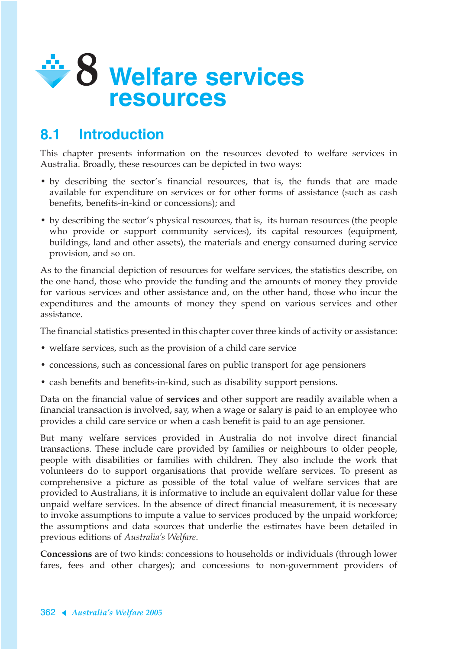

# **8.1 Introduction**

This chapter presents information on the resources devoted to welfare services in Australia. Broadly, these resources can be depicted in two ways:

- by describing the sector's financial resources, that is, the funds that are made available for expenditure on services or for other forms of assistance (such as cash benefits, benefits-in-kind or concessions); and
- by describing the sector's physical resources, that is, its human resources (the people who provide or support community services), its capital resources (equipment, buildings, land and other assets), the materials and energy consumed during service provision, and so on.

As to the financial depiction of resources for welfare services, the statistics describe, on the one hand, those who provide the funding and the amounts of money they provide for various services and other assistance and, on the other hand, those who incur the expenditures and the amounts of money they spend on various services and other assistance.

The financial statistics presented in this chapter cover three kinds of activity or assistance:

- welfare services, such as the provision of a child care service
- concessions, such as concessional fares on public transport for age pensioners
- cash benefits and benefits-in-kind, such as disability support pensions.

Data on the financial value of **services** and other support are readily available when a financial transaction is involved, say, when a wage or salary is paid to an employee who provides a child care service or when a cash benefit is paid to an age pensioner.

But many welfare services provided in Australia do not involve direct financial transactions. These include care provided by families or neighbours to older people, people with disabilities or families with children. They also include the work that volunteers do to support organisations that provide welfare services. To present as comprehensive a picture as possible of the total value of welfare services that are provided to Australians, it is informative to include an equivalent dollar value for these unpaid welfare services. In the absence of direct financial measurement, it is necessary to invoke assumptions to impute a value to services produced by the unpaid workforce; the assumptions and data sources that underlie the estimates have been detailed in previous editions of *Australia's Welfare*.

**Concessions** are of two kinds: concessions to households or individuals (through lower fares, fees and other charges); and concessions to non-government providers of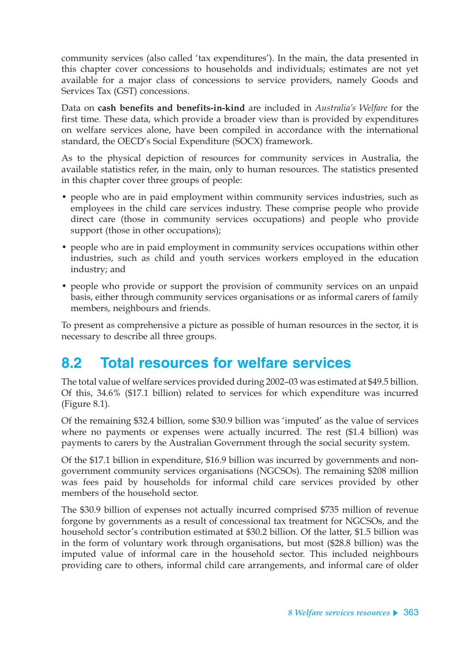community services (also called 'tax expenditures'). In the main, the data presented in this chapter cover concessions to households and individuals; estimates are not yet available for a major class of concessions to service providers, namely Goods and Services Tax (GST) concessions.

Data on **cash benefits and benefits-in-kind** are included in *Australia's Welfare* for the first time. These data, which provide a broader view than is provided by expenditures on welfare services alone, have been compiled in accordance with the international standard, the OECD's Social Expenditure (SOCX) framework.

As to the physical depiction of resources for community services in Australia, the available statistics refer, in the main, only to human resources. The statistics presented in this chapter cover three groups of people:

- people who are in paid employment within community services industries, such as employees in the child care services industry. These comprise people who provide direct care (those in community services occupations) and people who provide support (those in other occupations);
- people who are in paid employment in community services occupations within other industries, such as child and youth services workers employed in the education industry; and
- people who provide or support the provision of community services on an unpaid basis, either through community services organisations or as informal carers of family members, neighbours and friends.

To present as comprehensive a picture as possible of human resources in the sector, it is necessary to describe all three groups.

# **8.2 Total resources for welfare services**

The total value of welfare services provided during 2002–03 was estimated at \$49.5 billion. Of this, 34.6% (\$17.1 billion) related to services for which expenditure was incurred (Figure 8.1).

Of the remaining \$32.4 billion, some \$30.9 billion was 'imputed' as the value of services where no payments or expenses were actually incurred. The rest (\$1.4 billion) was payments to carers by the Australian Government through the social security system.

Of the \$17.1 billion in expenditure, \$16.9 billion was incurred by governments and nongovernment community services organisations (NGCSOs). The remaining \$208 million was fees paid by households for informal child care services provided by other members of the household sector.

The \$30.9 billion of expenses not actually incurred comprised \$735 million of revenue forgone by governments as a result of concessional tax treatment for NGCSOs, and the household sector's contribution estimated at \$30.2 billion. Of the latter, \$1.5 billion was in the form of voluntary work through organisations, but most (\$28.8 billion) was the imputed value of informal care in the household sector. This included neighbours providing care to others, informal child care arrangements, and informal care of older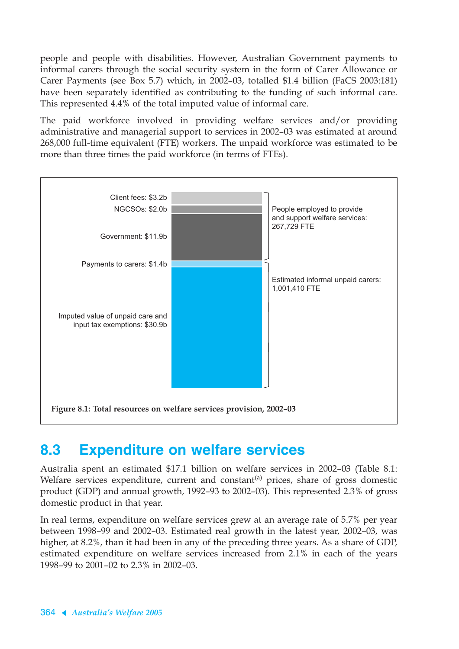people and people with disabilities. However, Australian Government payments to informal carers through the social security system in the form of Carer Allowance or Carer Payments (see Box 5.7) which, in 2002–03, totalled \$1.4 billion (FaCS 2003:181) have been separately identified as contributing to the funding of such informal care. This represented 4.4% of the total imputed value of informal care.

The paid workforce involved in providing welfare services and/or providing administrative and managerial support to services in 2002–03 was estimated at around 268,000 full-time equivalent (FTE) workers. The unpaid workforce was estimated to be more than three times the paid workforce (in terms of FTEs).



# **8.3 Expenditure on welfare services**

Australia spent an estimated \$17.1 billion on welfare services in 2002–03 (Table 8.1: Welfare services expenditure, current and constant<sup>(a)</sup> prices, share of gross domestic product (GDP) and annual growth, 1992–93 to 2002–03). This represented 2.3% of gross domestic product in that year.

In real terms, expenditure on welfare services grew at an average rate of 5.7% per year between 1998–99 and 2002–03. Estimated real growth in the latest year, 2002–03, was higher, at 8.2%, than it had been in any of the preceding three years. As a share of GDP, estimated expenditure on welfare services increased from 2.1% in each of the years 1998–99 to 2001–02 to 2.3% in 2002–03.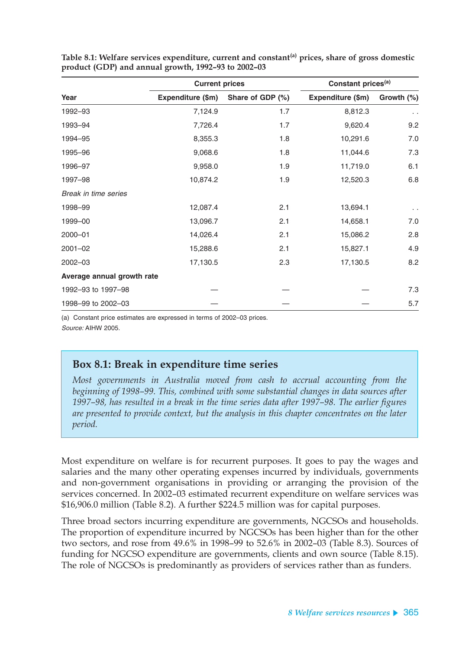|                            | <b>Current prices</b> |                  | Constant prices <sup>(a)</sup> |               |  |
|----------------------------|-----------------------|------------------|--------------------------------|---------------|--|
| Year                       | Expenditure (\$m)     | Share of GDP (%) | Expenditure (\$m)              | Growth (%)    |  |
| 1992-93                    | 7,124.9               | 1.7              | 8,812.3                        | $\sim$ $\sim$ |  |
| 1993-94                    | 7,726.4               | 1.7              | 9,620.4                        | 9.2           |  |
| 1994-95                    | 8,355.3               | 1.8              | 10,291.6                       | 7.0           |  |
| 1995-96                    | 9,068.6               | 1.8              | 11,044.6                       | 7.3           |  |
| 1996-97                    | 9,958.0               | 1.9              | 11,719.0                       | 6.1           |  |
| 1997-98                    | 10,874.2              | 1.9              | 12,520.3                       | 6.8           |  |
| Break in time series       |                       |                  |                                |               |  |
| 1998-99                    | 12,087.4              | 2.1              | 13,694.1                       | $\sim$ $\sim$ |  |
| 1999-00                    | 13,096.7              | 2.1              | 14,658.1                       | 7.0           |  |
| $2000 - 01$                | 14,026.4              | 2.1              | 15,086.2                       | 2.8           |  |
| $2001 - 02$                | 15,288.6              | 2.1              | 15,827.1                       | 4.9           |  |
| $2002 - 03$                | 17,130.5              | 2.3              | 17,130.5                       | 8.2           |  |
| Average annual growth rate |                       |                  |                                |               |  |
| 1992-93 to 1997-98         |                       |                  |                                | 7.3           |  |
| 1998-99 to 2002-03         |                       |                  |                                | 5.7           |  |

**Table 8.1: Welfare services expenditure, current and constant(a) prices, share of gross domestic product (GDP) and annual growth, 1992–93 to 2002–03**

(a) Constant price estimates are expressed in terms of 2002–03 prices. Source: AIHW 2005.

### **Box 8.1: Break in expenditure time series**

*Most governments in Australia moved from cash to accrual accounting from the beginning of 1998–99. This, combined with some substantial changes in data sources after 1997–98, has resulted in a break in the time series data after 1997–98. The earlier figures are presented to provide context, but the analysis in this chapter concentrates on the later period.*

Most expenditure on welfare is for recurrent purposes. It goes to pay the wages and salaries and the many other operating expenses incurred by individuals, governments and non-government organisations in providing or arranging the provision of the services concerned. In 2002–03 estimated recurrent expenditure on welfare services was \$16,906.0 million (Table 8.2). A further \$224.5 million was for capital purposes.

Three broad sectors incurring expenditure are governments, NGCSOs and households. The proportion of expenditure incurred by NGCSOs has been higher than for the other two sectors, and rose from 49.6% in 1998–99 to 52.6% in 2002–03 (Table 8.3). Sources of funding for NGCSO expenditure are governments, clients and own source (Table 8.15). The role of NGCSOs is predominantly as providers of services rather than as funders.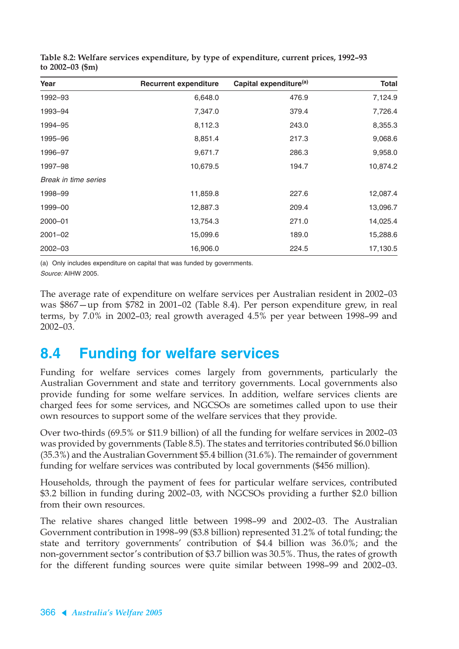| Year                 | <b>Recurrent expenditure</b> | Capital expenditure <sup>(a)</sup> | <b>Total</b> |
|----------------------|------------------------------|------------------------------------|--------------|
| 1992-93              | 6,648.0                      | 476.9                              | 7,124.9      |
| 1993-94              | 7,347.0                      | 379.4                              | 7,726.4      |
| 1994-95              | 8,112.3                      | 243.0                              | 8,355.3      |
| 1995-96              | 8,851.4                      | 217.3                              | 9,068.6      |
| 1996-97              | 9,671.7                      | 286.3                              | 9,958.0      |
| 1997-98              | 10,679.5                     | 194.7                              | 10,874.2     |
| Break in time series |                              |                                    |              |
| 1998-99              | 11,859.8                     | 227.6                              | 12,087.4     |
| 1999-00              | 12,887.3                     | 209.4                              | 13,096.7     |
| 2000-01              | 13,754.3                     | 271.0                              | 14,025.4     |
| $2001 - 02$          | 15,099.6                     | 189.0                              | 15,288.6     |
| $2002 - 03$          | 16,906.0                     | 224.5                              | 17,130.5     |

**Table 8.2: Welfare services expenditure, by type of expenditure, current prices, 1992–93 to 2002–03 (\$m)**

(a) Only includes expenditure on capital that was funded by governments.

Source: AIHW 2005.

The average rate of expenditure on welfare services per Australian resident in 2002–03 was \$867—up from \$782 in 2001–02 (Table 8.4). Per person expenditure grew, in real terms, by 7.0% in 2002–03; real growth averaged 4.5% per year between 1998–99 and 2002–03.

# **8.4 Funding for welfare services**

Funding for welfare services comes largely from governments, particularly the Australian Government and state and territory governments. Local governments also provide funding for some welfare services. In addition, welfare services clients are charged fees for some services, and NGCSOs are sometimes called upon to use their own resources to support some of the welfare services that they provide.

Over two-thirds (69.5% or \$11.9 billion) of all the funding for welfare services in 2002–03 was provided by governments (Table 8.5). The states and territories contributed \$6.0 billion (35.3%) and the Australian Government \$5.4 billion (31.6%). The remainder of government funding for welfare services was contributed by local governments (\$456 million).

Households, through the payment of fees for particular welfare services, contributed \$3.2 billion in funding during 2002–03, with NGCSOs providing a further \$2.0 billion from their own resources.

The relative shares changed little between 1998–99 and 2002–03. The Australian Government contribution in 1998–99 (\$3.8 billion) represented 31.2% of total funding; the state and territory governments' contribution of \$4.4 billion was 36.0%; and the non-government sector's contribution of \$3.7 billion was 30.5%. Thus, the rates of growth for the different funding sources were quite similar between 1998–99 and 2002–03.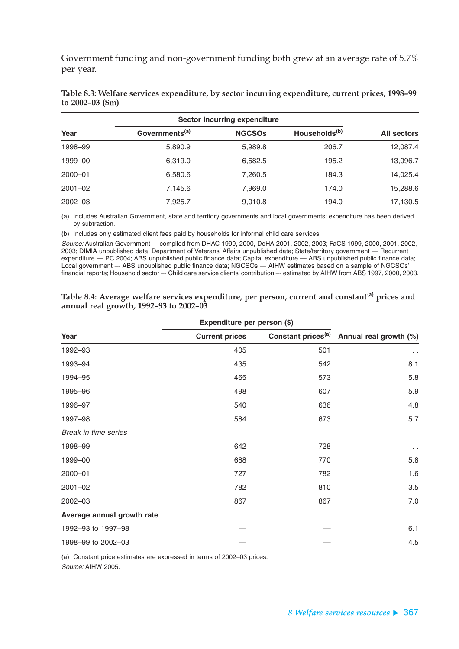Government funding and non-government funding both grew at an average rate of 5.7% per year.

|             | Sector incurring expenditure |               |                           |             |
|-------------|------------------------------|---------------|---------------------------|-------------|
| Year        | Governments <sup>(a)</sup>   | <b>NGCSOS</b> | Households <sup>(b)</sup> | All sectors |
| 1998-99     | 5,890.9                      | 5,989.8       | 206.7                     | 12,087.4    |
| 1999-00     | 6,319.0                      | 6,582.5       | 195.2                     | 13,096.7    |
| 2000-01     | 6,580.6                      | 7,260.5       | 184.3                     | 14,025.4    |
| $2001 - 02$ | 7,145.6                      | 7,969.0       | 174.0                     | 15,288.6    |
| $2002 - 03$ | 7,925.7                      | 9,010.8       | 194.0                     | 17,130.5    |

**Table 8.3: Welfare services expenditure, by sector incurring expenditure, current prices, 1998–99 to 2002–03 (\$m)**

(a) Includes Australian Government, state and territory governments and local governments; expenditure has been derived by subtraction.

(b) Includes only estimated client fees paid by households for informal child care services.

Source: Australian Government –- compiled from DHAC 1999, 2000, DoHA 2001, 2002, 2003; FaCS 1999, 2000, 2001, 2002, 2003; DIMIA unpublished data; Department of Veterans' Affairs unpublished data; State/territory government — Recurrent expenditure — PC 2004; ABS unpublished public finance data; Capital expenditure — ABS unpublished public finance data; Local government –- ABS unpublished public finance data; NGCSOs — AIHW estimates based on a sample of NGCSOs' financial reports; Household sector -- Child care service clients' contribution -- estimated by AIHW from ABS 1997, 2000, 2003.

|                            | Expenditure per person (\$) |                                |                        |
|----------------------------|-----------------------------|--------------------------------|------------------------|
| Year                       | <b>Current prices</b>       | Constant prices <sup>(a)</sup> | Annual real growth (%) |
| 1992-93                    | 405                         | 501                            | $\ddot{\phantom{0}}$   |
| 1993-94                    | 435                         | 542                            | 8.1                    |
| 1994-95                    | 465                         | 573                            | 5.8                    |
| 1995-96                    | 498                         | 607                            | 5.9                    |
| 1996-97                    | 540                         | 636                            | 4.8                    |
| 1997-98                    | 584                         | 673                            | 5.7                    |
| Break in time series       |                             |                                |                        |
| 1998-99                    | 642                         | 728                            | $\ddot{\phantom{1}}$   |
| 1999-00                    | 688                         | 770                            | 5.8                    |
| $2000 - 01$                | 727                         | 782                            | 1.6                    |
| $2001 - 02$                | 782                         | 810                            | 3.5                    |
| $2002 - 03$                | 867                         | 867                            | 7.0                    |
| Average annual growth rate |                             |                                |                        |
| 1992-93 to 1997-98         |                             |                                | 6.1                    |
| 1998-99 to 2002-03         |                             |                                | 4.5                    |

| Table 8.4: Average welfare services expenditure, per person, current and constant <sup>(a)</sup> prices and |  |
|-------------------------------------------------------------------------------------------------------------|--|
| annual real growth, 1992-93 to 2002-03                                                                      |  |

(a) Constant price estimates are expressed in terms of 2002–03 prices.

Source: AIHW 2005.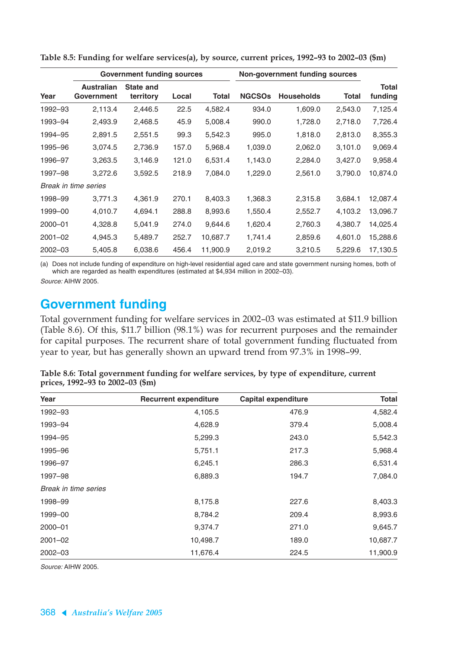|             |                                 | <b>Government funding sources</b> |       |          | Non-government funding sources |                   |         |                         |
|-------------|---------------------------------|-----------------------------------|-------|----------|--------------------------------|-------------------|---------|-------------------------|
| Year        | <b>Australian</b><br>Government | State and<br>territory            | Local | Total    | <b>NGCSOs</b>                  | <b>Households</b> | Total   | <b>Total</b><br>funding |
| 1992-93     | 2,113.4                         | 2,446.5                           | 22.5  | 4,582.4  | 934.0                          | 1,609.0           | 2,543.0 | 7,125.4                 |
| 1993-94     | 2,493.9                         | 2,468.5                           | 45.9  | 5,008.4  | 990.0                          | 1,728.0           | 2,718.0 | 7,726.4                 |
| 1994-95     | 2,891.5                         | 2,551.5                           | 99.3  | 5,542.3  | 995.0                          | 1,818.0           | 2,813.0 | 8,355.3                 |
| 1995–96     | 3,074.5                         | 2,736.9                           | 157.0 | 5,968.4  | 1,039.0                        | 2,062.0           | 3,101.0 | 9,069.4                 |
| 1996-97     | 3,263.5                         | 3,146.9                           | 121.0 | 6,531.4  | 1,143.0                        | 2,284.0           | 3,427.0 | 9,958.4                 |
| 1997-98     | 3,272.6                         | 3,592.5                           | 218.9 | 7,084.0  | 1,229.0                        | 2,561.0           | 3,790.0 | 10,874.0                |
|             | Break in time series            |                                   |       |          |                                |                   |         |                         |
| 1998-99     | 3,771.3                         | 4,361.9                           | 270.1 | 8,403.3  | 1,368.3                        | 2,315.8           | 3,684.1 | 12,087.4                |
| 1999-00     | 4,010.7                         | 4,694.1                           | 288.8 | 8,993.6  | 1,550.4                        | 2,552.7           | 4,103.2 | 13,096.7                |
| $2000 - 01$ | 4,328.8                         | 5,041.9                           | 274.0 | 9,644.6  | 1,620.4                        | 2,760.3           | 4,380.7 | 14,025.4                |
| $2001 - 02$ | 4,945.3                         | 5,489.7                           | 252.7 | 10,687.7 | 1,741.4                        | 2,859.6           | 4,601.0 | 15,288.6                |
| $2002 - 03$ | 5,405.8                         | 6,038.6                           | 456.4 | 11,900.9 | 2,019.2                        | 3,210.5           | 5,229.6 | 17,130.5                |

**Table 8.5: Funding for welfare services(a), by source, current prices, 1992–93 to 2002–03 (\$m)**

(a) Does not include funding of expenditure on high-level residential aged care and state government nursing homes, both of which are regarded as health expenditures (estimated at \$4,934 million in 2002–03).

Source: AIHW 2005.

### **Government funding**

Total government funding for welfare services in 2002–03 was estimated at \$11.9 billion (Table 8.6). Of this, \$11.7 billion (98.1%) was for recurrent purposes and the remainder for capital purposes. The recurrent share of total government funding fluctuated from year to year, but has generally shown an upward trend from 97.3% in 1998–99.

| Table 8.6: Total government funding for welfare services, by type of expenditure, current |  |  |
|-------------------------------------------------------------------------------------------|--|--|
| prices, 1992–93 to 2002–03 (\$m)                                                          |  |  |

| Year                 | <b>Recurrent expenditure</b> | <b>Capital expenditure</b> | <b>Total</b> |
|----------------------|------------------------------|----------------------------|--------------|
| 1992-93              | 4,105.5                      | 476.9                      | 4,582.4      |
| 1993-94              | 4,628.9                      | 379.4                      | 5,008.4      |
| 1994-95              | 5,299.3                      | 243.0                      | 5,542.3      |
| 1995-96              | 5,751.1                      | 217.3                      | 5,968.4      |
| 1996-97              | 6,245.1                      | 286.3                      | 6,531.4      |
| 1997-98              | 6,889.3                      | 194.7                      | 7,084.0      |
| Break in time series |                              |                            |              |
| 1998-99              | 8,175.8                      | 227.6                      | 8,403.3      |
| 1999-00              | 8,784.2                      | 209.4                      | 8,993.6      |
| $2000 - 01$          | 9,374.7                      | 271.0                      | 9,645.7      |
| $2001 - 02$          | 10,498.7                     | 189.0                      | 10,687.7     |
| $2002 - 03$          | 11,676.4                     | 224.5                      | 11,900.9     |

Source: AIHW 2005.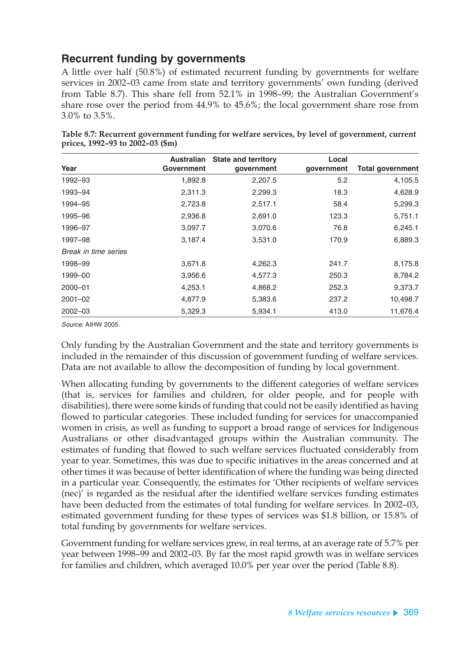### **Recurrent funding by governments**

A little over half (50.8%) of estimated recurrent funding by governments for welfare services in 2002–03 came from state and territory governments' own funding (derived from Table 8.7). This share fell from 52.1% in 1998–99; the Australian Government's share rose over the period from 44.9% to 45.6%; the local government share rose from 3.0% to 3.5%.

|                      | <b>Australian</b> | <b>State and territory</b> | Local      |                         |
|----------------------|-------------------|----------------------------|------------|-------------------------|
| Year                 | Government        | government                 | government | <b>Total government</b> |
| 1992-93              | 1,892.8           | 2,207.5                    | 5.2        | 4,105.5                 |
| 1993-94              | 2,311.3           | 2,299.3                    | 18.3       | 4,628.9                 |
| 1994-95              | 2,723.8           | 2,517.1                    | 58.4       | 5,299.3                 |
| 1995-96              | 2,936.8           | 2,691.0                    | 123.3      | 5,751.1                 |
| 1996-97              | 3,097.7           | 3,070.6                    | 76.8       | 6,245.1                 |
| 1997-98              | 3,187.4           | 3,531.0                    | 170.9      | 6,889.3                 |
| Break in time series |                   |                            |            |                         |
| 1998-99              | 3,671.8           | 4,262.3                    | 241.7      | 8,175.8                 |
| 1999-00              | 3,956.6           | 4,577.3                    | 250.3      | 8,784.2                 |
| $2000 - 01$          | 4,253.1           | 4,868.2                    | 252.3      | 9,373.7                 |
| $2001 - 02$          | 4,877.9           | 5,383.6                    | 237.2      | 10,498.7                |
| $2002 - 03$          | 5,329.3           | 5,934.1                    | 413.0      | 11,676.4                |

**Table 8.7: Recurrent government funding for welfare services, by level of government, current prices, 1992–93 to 2002–03 (\$m)**

Source: AIHW 2005.

Only funding by the Australian Government and the state and territory governments is included in the remainder of this discussion of government funding of welfare services. Data are not available to allow the decomposition of funding by local government.

When allocating funding by governments to the different categories of welfare services (that is, services for families and children, for older people, and for people with disabilities), there were some kinds of funding that could not be easily identified as having flowed to particular categories. These included funding for services for unaccompanied women in crisis, as well as funding to support a broad range of services for Indigenous Australians or other disadvantaged groups within the Australian community. The estimates of funding that flowed to such welfare services fluctuated considerably from year to year. Sometimes, this was due to specific initiatives in the areas concerned and at other times it was because of better identification of where the funding was being directed in a particular year. Consequently, the estimates for 'Other recipients of welfare services (nec)' is regarded as the residual after the identified welfare services funding estimates have been deducted from the estimates of total funding for welfare services. In 2002–03, estimated government funding for these types of services was \$1.8 billion, or 15.8% of total funding by governments for welfare services.

Government funding for welfare services grew, in real terms, at an average rate of 5.7% per year between 1998–99 and 2002–03. By far the most rapid growth was in welfare services for families and children, which averaged 10.0% per year over the period (Table 8.8).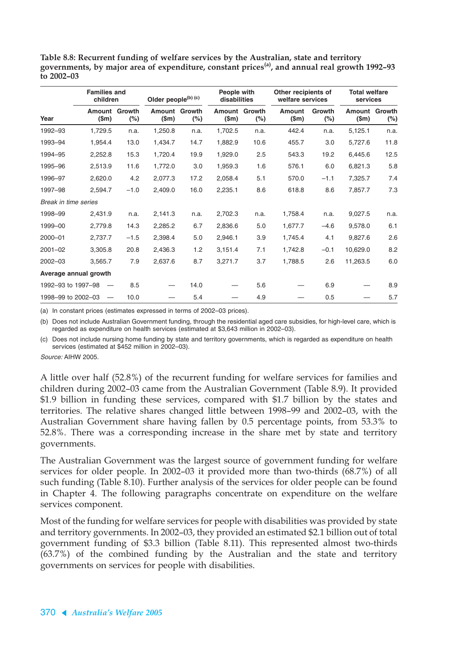**Table 8.8: Recurrent funding of welfare services by the Australian, state and territory governments, by major area of expenditure, constant prices(a), and annual real growth 1992–93 to 2002–03**

|                       |                         | <b>Families and</b><br>children |                 | Older people <sup>(b) (c)</sup> |                 | People with<br>disabilities |                 | Other recipients of<br>welfare services |                 | <b>Total welfare</b><br>services |  |
|-----------------------|-------------------------|---------------------------------|-----------------|---------------------------------|-----------------|-----------------------------|-----------------|-----------------------------------------|-----------------|----------------------------------|--|
| Year                  | Amount<br>$(\text{Sm})$ | Growth<br>$(\%)$                | Amount<br>\$m\$ | Growth<br>$(\%)$                | Amount<br>\$m\$ | Growth<br>$(\%)$            | Amount<br>\$m\$ | Growth<br>$(\%)$                        | Amount<br>\$m\$ | Growth<br>$(\%)$                 |  |
| 1992-93               | 1,729.5                 | n.a.                            | 1,250.8         | n.a.                            | 1,702.5         | n.a.                        | 442.4           | n.a.                                    | 5,125.1         | n.a.                             |  |
| 1993-94               | 1,954.4                 | 13.0                            | 1,434.7         | 14.7                            | 1,882.9         | 10.6                        | 455.7           | 3.0                                     | 5,727.6         | 11.8                             |  |
| 1994-95               | 2,252.8                 | 15.3                            | 1,720.4         | 19.9                            | 1,929.0         | 2.5                         | 543.3           | 19.2                                    | 6,445.6         | 12.5                             |  |
| 1995-96               | 2,513.9                 | 11.6                            | 1,772.0         | 3.0                             | 1,959.3         | 1.6                         | 576.1           | 6.0                                     | 6,821.3         | 5.8                              |  |
| 1996-97               | 2,620.0                 | 4.2                             | 2,077.3         | 17.2                            | 2,058.4         | 5.1                         | 570.0           | $-1.1$                                  | 7,325.7         | 7.4                              |  |
| 1997-98               | 2,594.7                 | $-1.0$                          | 2,409.0         | 16.0                            | 2,235.1         | 8.6                         | 618.8           | 8.6                                     | 7,857.7         | 7.3                              |  |
| Break in time series  |                         |                                 |                 |                                 |                 |                             |                 |                                         |                 |                                  |  |
| 1998-99               | 2,431.9                 | n.a.                            | 2,141.3         | n.a.                            | 2,702.3         | n.a.                        | 1,758.4         | n.a.                                    | 9,027.5         | n.a.                             |  |
| 1999-00               | 2,779.8                 | 14.3                            | 2,285.2         | 6.7                             | 2,836.6         | 5.0                         | 1,677.7         | $-4.6$                                  | 9,578.0         | 6.1                              |  |
| 2000-01               | 2,737.7                 | $-1.5$                          | 2,398.4         | 5.0                             | 2,946.1         | 3.9                         | 1,745.4         | 4.1                                     | 9,827.6         | 2.6                              |  |
| $2001 - 02$           | 3,305.8                 | 20.8                            | 2,436.3         | 1.2                             | 3,151.4         | 7.1                         | 1,742.8         | $-0.1$                                  | 10,629.0        | 8.2                              |  |
| 2002-03               | 3,565.7                 | 7.9                             | 2,637.6         | 8.7                             | 3,271.7         | 3.7                         | 1,788.5         | 2.6                                     | 11,263.5        | 6.0                              |  |
| Average annual growth |                         |                                 |                 |                                 |                 |                             |                 |                                         |                 |                                  |  |
| 1992-93 to 1997-98    |                         | 8.5                             |                 | 14.0                            |                 | 5.6                         |                 | 6.9                                     |                 | 8.9                              |  |
| 1998-99 to 2002-03    |                         | 10.0                            |                 | 5.4                             |                 | 4.9                         |                 | 0.5                                     |                 | 5.7                              |  |

(a) In constant prices (estimates expressed in terms of 2002–03 prices).

(b) Does not include Australian Government funding, through the residential aged care subsidies, for high-level care, which is regarded as expenditure on health services (estimated at \$3,643 million in 2002–03).

(c) Does not include nursing home funding by state and territory governments, which is regarded as expenditure on health services (estimated at \$452 million in 2002–03).

Source: AIHW 2005.

A little over half (52.8%) of the recurrent funding for welfare services for families and children during 2002–03 came from the Australian Government (Table 8.9). It provided \$1.9 billion in funding these services, compared with \$1.7 billion by the states and territories. The relative shares changed little between 1998–99 and 2002–03, with the Australian Government share having fallen by 0.5 percentage points, from 53.3% to 52.8%. There was a corresponding increase in the share met by state and territory governments.

The Australian Government was the largest source of government funding for welfare services for older people. In 2002–03 it provided more than two-thirds (68.7%) of all such funding (Table 8.10). Further analysis of the services for older people can be found in Chapter 4. The following paragraphs concentrate on expenditure on the welfare services component.

Most of the funding for welfare services for people with disabilities was provided by state and territory governments. In 2002–03, they provided an estimated \$2.1 billion out of total government funding of \$3.3 billion (Table 8.11). This represented almost two-thirds (63.7%) of the combined funding by the Australian and the state and territory governments on services for people with disabilities.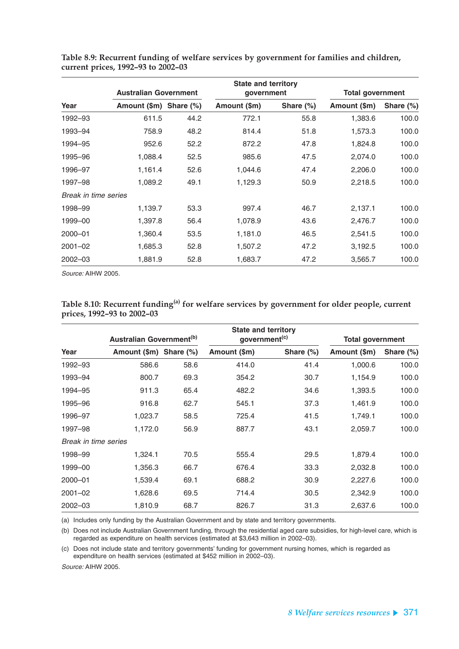|                      |                        | <b>Australian Government</b> |              | <b>State and territory</b><br>qovernment | <b>Total government</b> |              |  |
|----------------------|------------------------|------------------------------|--------------|------------------------------------------|-------------------------|--------------|--|
| Year                 | Amount (\$m) Share (%) |                              | Amount (\$m) | Share $(\%)$                             | Amount (\$m)            | Share $(\%)$ |  |
| 1992-93              | 611.5                  | 44.2                         | 772.1        | 55.8                                     | 1,383.6                 | 100.0        |  |
| 1993-94              | 758.9                  | 48.2                         | 814.4        | 51.8                                     | 1,573.3                 | 100.0        |  |
| 1994-95              | 952.6                  | 52.2                         | 872.2        | 47.8                                     | 1,824.8                 | 100.0        |  |
| 1995-96              | 1,088.4                | 52.5                         | 985.6        | 47.5                                     | 2,074.0                 | 100.0        |  |
| 1996-97              | 1,161.4                | 52.6                         | 1,044.6      | 47.4                                     | 2,206.0                 | 100.0        |  |
| 1997-98              | 1,089.2                | 49.1                         | 1,129.3      | 50.9                                     | 2,218.5                 | 100.0        |  |
| Break in time series |                        |                              |              |                                          |                         |              |  |
| 1998-99              | 1,139.7                | 53.3                         | 997.4        | 46.7                                     | 2,137.1                 | 100.0        |  |
| 1999-00              | 1,397.8                | 56.4                         | 1,078.9      | 43.6                                     | 2,476.7                 | 100.0        |  |
| 2000-01              | 1,360.4                | 53.5                         | 1,181.0      | 46.5                                     | 2,541.5                 | 100.0        |  |
| $2001 - 02$          | 1,685.3                | 52.8                         | 1,507.2      | 47.2                                     | 3,192.5                 | 100.0        |  |
| $2002 - 03$          | 1,881.9                | 52.8                         | 1,683.7      | 47.2                                     | 3,565.7                 | 100.0        |  |

**Table 8.9: Recurrent funding of welfare services by government for families and children, current prices, 1992–93 to 2002–03**

Source: AIHW 2005.

#### Table 8.10: Recurrent funding<sup>(a)</sup> for welfare services by government for older people, current **prices, 1992–93 to 2002–03**

| Australian Government <sup>(b)</sup> |                        |      | <b>State and territory</b><br>government <sup>(c)</sup> |              | <b>Total government</b> |              |
|--------------------------------------|------------------------|------|---------------------------------------------------------|--------------|-------------------------|--------------|
| Year                                 | Amount (\$m) Share (%) |      | Amount (\$m)                                            | Share $(\%)$ | Amount (\$m)            | Share $(\%)$ |
| 1992-93                              | 586.6                  | 58.6 | 414.0                                                   | 41.4         | 1,000.6                 | 100.0        |
| 1993-94                              | 800.7                  | 69.3 | 354.2                                                   | 30.7         | 1,154.9                 | 100.0        |
| 1994-95                              | 911.3                  | 65.4 | 482.2                                                   | 34.6         | 1,393.5                 | 100.0        |
| 1995-96                              | 916.8                  | 62.7 | 545.1                                                   | 37.3         | 1,461.9                 | 100.0        |
| 1996–97                              | 1,023.7                | 58.5 | 725.4                                                   | 41.5         | 1,749.1                 | 100.0        |
| 1997-98                              | 1,172.0                | 56.9 | 887.7                                                   | 43.1         | 2,059.7                 | 100.0        |
| Break in time series                 |                        |      |                                                         |              |                         |              |
| 1998-99                              | 1,324.1                | 70.5 | 555.4                                                   | 29.5         | 1,879.4                 | 100.0        |
| 1999-00                              | 1,356.3                | 66.7 | 676.4                                                   | 33.3         | 2,032.8                 | 100.0        |
| 2000-01                              | 1,539.4                | 69.1 | 688.2                                                   | 30.9         | 2,227.6                 | 100.0        |
| $2001 - 02$                          | 1,628.6                | 69.5 | 714.4                                                   | 30.5         | 2,342.9                 | 100.0        |
| $2002 - 03$                          | 1,810.9                | 68.7 | 826.7                                                   | 31.3         | 2,637.6                 | 100.0        |

(a) Includes only funding by the Australian Government and by state and territory governments.

(b) Does not include Australian Government funding, through the residential aged care subsidies, for high-level care, which is regarded as expenditure on health services (estimated at \$3,643 million in 2002–03).

(c) Does not include state and territory governments' funding for government nursing homes, which is regarded as expenditure on health services (estimated at \$452 million in 2002–03).

Source: AIHW 2005.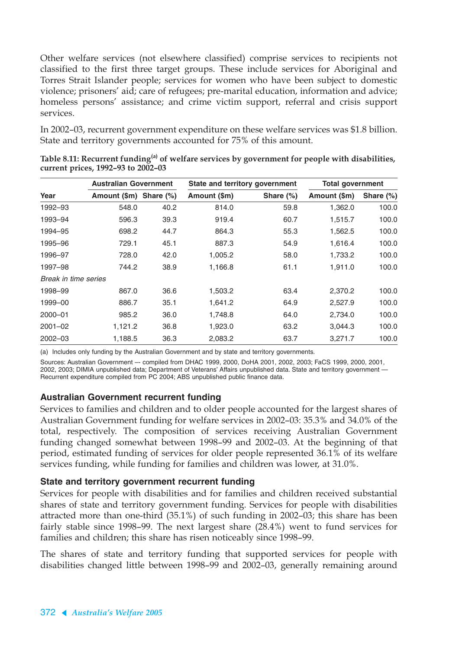Other welfare services (not elsewhere classified) comprise services to recipients not classified to the first three target groups. These include services for Aboriginal and Torres Strait Islander people; services for women who have been subject to domestic violence; prisoners' aid; care of refugees; pre-marital education, information and advice; homeless persons' assistance; and crime victim support, referral and crisis support services.

In 2002–03, recurrent government expenditure on these welfare services was \$1.8 billion. State and territory governments accounted for 75% of this amount.

|                      | <b>Australian Government</b> |      | State and territory government |              | <b>Total government</b> |           |
|----------------------|------------------------------|------|--------------------------------|--------------|-------------------------|-----------|
| Year                 | Amount (\$m) Share (%)       |      | Amount (\$m)                   | Share $(\%)$ | Amount (\$m)            | Share (%) |
| 1992-93              | 548.0                        | 40.2 | 814.0                          | 59.8         | 1,362.0                 | 100.0     |
| 1993-94              | 596.3                        | 39.3 | 919.4                          | 60.7         | 1,515.7                 | 100.0     |
| 1994–95              | 698.2                        | 44.7 | 864.3                          | 55.3         | 1,562.5                 | 100.0     |
| 1995-96              | 729.1                        | 45.1 | 887.3                          | 54.9         | 1,616.4                 | 100.0     |
| 1996–97              | 728.0                        | 42.0 | 1,005.2                        | 58.0         | 1,733.2                 | 100.0     |
| 1997-98              | 744.2                        | 38.9 | 1,166.8                        | 61.1         | 1,911.0                 | 100.0     |
| Break in time series |                              |      |                                |              |                         |           |
| 1998–99              | 867.0                        | 36.6 | 1,503.2                        | 63.4         | 2,370.2                 | 100.0     |
| 1999-00              | 886.7                        | 35.1 | 1,641.2                        | 64.9         | 2,527.9                 | 100.0     |
| 2000-01              | 985.2                        | 36.0 | 1,748.8                        | 64.0         | 2,734.0                 | 100.0     |
| $2001 - 02$          | 1,121.2                      | 36.8 | 1,923.0                        | 63.2         | 3,044.3                 | 100.0     |
| $2002 - 03$          | 1,188.5                      | 36.3 | 2,083.2                        | 63.7         | 3,271.7                 | 100.0     |

**Table 8.11: Recurrent funding(a) of welfare services by government for people with disabilities, current prices, 1992–93 to 2002–03**

(a) Includes only funding by the Australian Government and by state and territory governments.

Sources: Australian Government –- compiled from DHAC 1999, 2000, DoHA 2001, 2002, 2003; FaCS 1999, 2000, 2001, 2002, 2003; DIMIA unpublished data; Department of Veterans' Affairs unpublished data. State and territory government — Recurrent expenditure compiled from PC 2004; ABS unpublished public finance data.

#### **Australian Government recurrent funding**

Services to families and children and to older people accounted for the largest shares of Australian Government funding for welfare services in 2002–03: 35.3% and 34.0% of the total, respectively. The composition of services receiving Australian Government funding changed somewhat between 1998–99 and 2002–03. At the beginning of that period, estimated funding of services for older people represented 36.1% of its welfare services funding, while funding for families and children was lower, at 31.0%.

#### **State and territory government recurrent funding**

Services for people with disabilities and for families and children received substantial shares of state and territory government funding. Services for people with disabilities attracted more than one-third (35.1%) of such funding in 2002–03; this share has been fairly stable since 1998–99. The next largest share (28.4%) went to fund services for families and children; this share has risen noticeably since 1998–99.

The shares of state and territory funding that supported services for people with disabilities changed little between 1998–99 and 2002–03, generally remaining around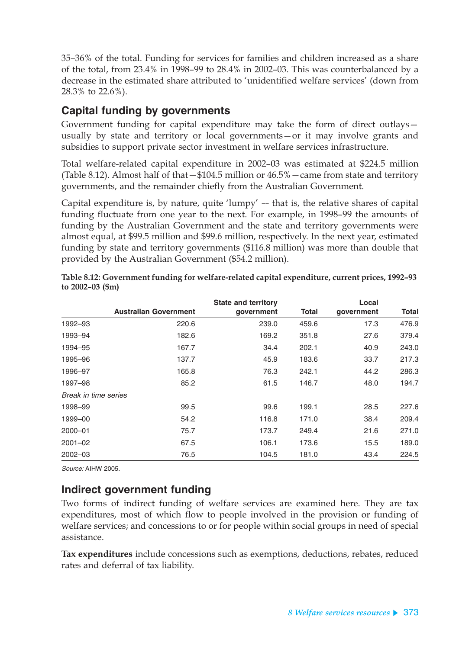35–36% of the total. Funding for services for families and children increased as a share of the total, from 23.4% in 1998–99 to 28.4% in 2002–03. This was counterbalanced by a decrease in the estimated share attributed to 'unidentified welfare services' (down from 28.3% to 22.6%).

### **Capital funding by governments**

Government funding for capital expenditure may take the form of direct outlays usually by state and territory or local governments—or it may involve grants and subsidies to support private sector investment in welfare services infrastructure.

Total welfare-related capital expenditure in 2002–03 was estimated at \$224.5 million (Table 8.12). Almost half of that—\$104.5 million or 46.5%—came from state and territory governments, and the remainder chiefly from the Australian Government.

Capital expenditure is, by nature, quite 'lumpy' –- that is, the relative shares of capital funding fluctuate from one year to the next. For example, in 1998–99 the amounts of funding by the Australian Government and the state and territory governments were almost equal, at \$99.5 million and \$99.6 million, respectively. In the next year, estimated funding by state and territory governments (\$116.8 million) was more than double that provided by the Australian Government (\$54.2 million).

|                      |                              | <b>State and territory</b> |              | Local      |              |
|----------------------|------------------------------|----------------------------|--------------|------------|--------------|
|                      | <b>Australian Government</b> | government                 | <b>Total</b> | government | <b>Total</b> |
| 1992-93              | 220.6                        | 239.0                      | 459.6        | 17.3       | 476.9        |
| 1993-94              | 182.6                        | 169.2                      | 351.8        | 27.6       | 379.4        |
| 1994-95              | 167.7                        | 34.4                       | 202.1        | 40.9       | 243.0        |
| 1995-96              | 137.7                        | 45.9                       | 183.6        | 33.7       | 217.3        |
| 1996-97              | 165.8                        | 76.3                       | 242.1        | 44.2       | 286.3        |
| 1997-98              | 85.2                         | 61.5                       | 146.7        | 48.0       | 194.7        |
| Break in time series |                              |                            |              |            |              |
| 1998-99              | 99.5                         | 99.6                       | 199.1        | 28.5       | 227.6        |
| 1999-00              | 54.2                         | 116.8                      | 171.0        | 38.4       | 209.4        |
| 2000-01              | 75.7                         | 173.7                      | 249.4        | 21.6       | 271.0        |
| $2001 - 02$          | 67.5                         | 106.1                      | 173.6        | 15.5       | 189.0        |
| $2002 - 03$          | 76.5                         | 104.5                      | 181.0        | 43.4       | 224.5        |

**Table 8.12: Government funding for welfare-related capital expenditure, current prices, 1992–93 to 2002–03 (\$m)**

Source: AIHW 2005.

### **Indirect government funding**

Two forms of indirect funding of welfare services are examined here. They are tax expenditures, most of which flow to people involved in the provision or funding of welfare services; and concessions to or for people within social groups in need of special assistance.

**Tax expenditures** include concessions such as exemptions, deductions, rebates, reduced rates and deferral of tax liability.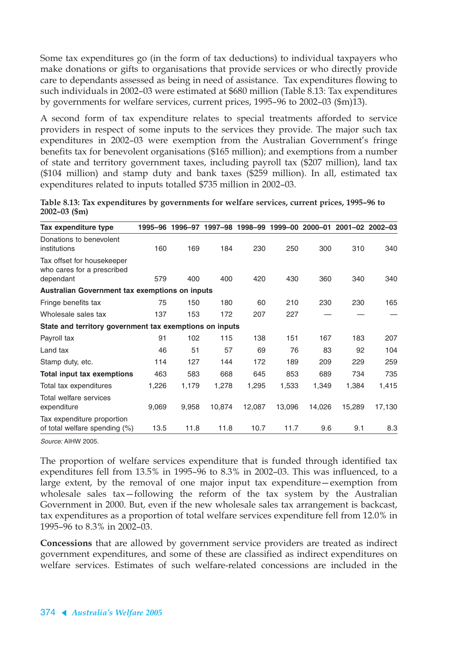Some tax expenditures go (in the form of tax deductions) to individual taxpayers who make donations or gifts to organisations that provide services or who directly provide care to dependants assessed as being in need of assistance. Tax expenditures flowing to such individuals in 2002–03 were estimated at \$680 million (Table 8.13: Tax expenditures by governments for welfare services, current prices, 1995–96 to 2002–03 (\$m)13).

A second form of tax expenditure relates to special treatments afforded to service providers in respect of some inputs to the services they provide. The major such tax expenditures in 2002–03 were exemption from the Australian Government's fringe benefits tax for benevolent organisations (\$165 million); and exemptions from a number of state and territory government taxes, including payroll tax (\$207 million), land tax (\$104 million) and stamp duty and bank taxes (\$259 million). In all, estimated tax expenditures related to inputs totalled \$735 million in 2002–03.

**Table 8.13: Tax expenditures by governments for welfare services, current prices, 1995–96 to 2002–03 (\$m)**

| Tax expenditure type                                                  |       | 1995-96 1996-97 | 1997–98 | 1998-99 | 1999-00 | 2000-01 |        | $2001 - 02$ $2002 - 03$ |
|-----------------------------------------------------------------------|-------|-----------------|---------|---------|---------|---------|--------|-------------------------|
| Donations to benevolent<br>institutions                               | 160   | 169             | 184     | 230     | 250     | 300     | 310    | 340                     |
| Tax offset for housekeeper<br>who cares for a prescribed<br>dependant | 579   | 400             | 400     | 420     | 430     | 360     | 340    | 340                     |
| Australian Government tax exemptions on inputs                        |       |                 |         |         |         |         |        |                         |
| Fringe benefits tax                                                   | 75    | 150             | 180     | 60      | 210     | 230     | 230    | 165                     |
| Wholesale sales tax                                                   | 137   | 153             | 172     | 207     | 227     |         |        |                         |
| State and territory government tax exemptions on inputs               |       |                 |         |         |         |         |        |                         |
| Payroll tax                                                           | 91    | 102             | 115     | 138     | 151     | 167     | 183    | 207                     |
| Land tax                                                              | 46    | 51              | 57      | 69      | 76      | 83      | 92     | 104                     |
| Stamp duty, etc.                                                      | 114   | 127             | 144     | 172     | 189     | 209     | 229    | 259                     |
| <b>Total input tax exemptions</b>                                     | 463   | 583             | 668     | 645     | 853     | 689     | 734    | 735                     |
| Total tax expenditures                                                | 1,226 | 1,179           | 1,278   | 1,295   | 1,533   | 1,349   | 1,384  | 1,415                   |
| Total welfare services<br>expenditure                                 | 9,069 | 9,958           | 10,874  | 12,087  | 13,096  | 14,026  | 15,289 | 17,130                  |
| Tax expenditure proportion<br>of total welfare spending $(\%)$        | 13.5  | 11.8            | 11.8    | 10.7    | 11.7    | 9.6     | 9.1    | 8.3                     |

Source: AIHW 2005.

The proportion of welfare services expenditure that is funded through identified tax expenditures fell from 13.5% in 1995–96 to 8.3% in 2002–03. This was influenced, to a large extent, by the removal of one major input tax expenditure—exemption from wholesale sales tax—following the reform of the tax system by the Australian Government in 2000. But, even if the new wholesale sales tax arrangement is backcast, tax expenditures as a proportion of total welfare services expenditure fell from 12.0% in 1995–96 to 8.3% in 2002–03.

**Concessions** that are allowed by government service providers are treated as indirect government expenditures, and some of these are classified as indirect expenditures on welfare services. Estimates of such welfare-related concessions are included in the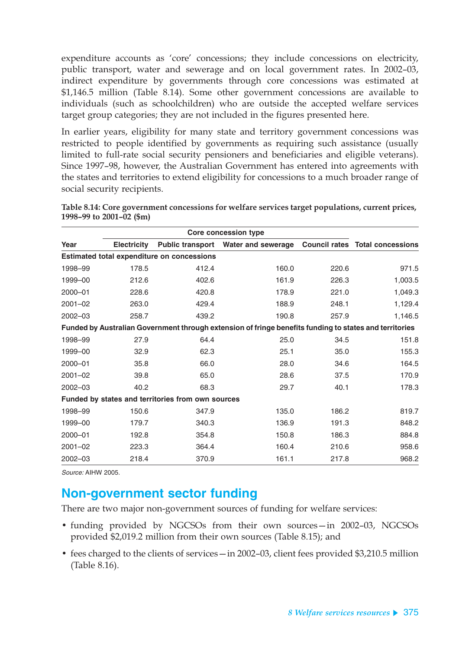expenditure accounts as 'core' concessions; they include concessions on electricity, public transport, water and sewerage and on local government rates. In 2002–03, indirect expenditure by governments through core concessions was estimated at \$1,146.5 million (Table 8.14). Some other government concessions are available to individuals (such as schoolchildren) who are outside the accepted welfare services target group categories; they are not included in the figures presented here.

In earlier years, eligibility for many state and territory government concessions was restricted to people identified by governments as requiring such assistance (usually limited to full-rate social security pensioners and beneficiaries and eligible veterans). Since 1997–98, however, the Australian Government has entered into agreements with the states and territories to extend eligibility for concessions to a much broader range of social security recipients.

| Year        | <b>Electricity</b> | <b>Public transport</b>                           | Water and sewerage                                                                                     |       | <b>Council rates Total concessions</b> |
|-------------|--------------------|---------------------------------------------------|--------------------------------------------------------------------------------------------------------|-------|----------------------------------------|
|             |                    | <b>Estimated total expenditure on concessions</b> |                                                                                                        |       |                                        |
| 1998-99     | 178.5              | 412.4                                             | 160.0                                                                                                  | 220.6 | 971.5                                  |
| 1999-00     | 212.6              | 402.6                                             | 161.9                                                                                                  | 226.3 | 1,003.5                                |
| 2000-01     | 228.6              | 420.8                                             | 178.9                                                                                                  | 221.0 | 1,049.3                                |
| $2001 - 02$ | 263.0              | 429.4                                             | 188.9                                                                                                  | 248.1 | 1,129.4                                |
| $2002 - 03$ | 258.7              | 439.2                                             | 190.8                                                                                                  | 257.9 | 1,146.5                                |
|             |                    |                                                   | Funded by Australian Government through extension of fringe benefits funding to states and territories |       |                                        |
| 1998-99     | 27.9               | 64.4                                              | 25.0                                                                                                   | 34.5  | 151.8                                  |
| 1999-00     | 32.9               | 62.3                                              | 25.1                                                                                                   | 35.0  | 155.3                                  |
| 2000-01     | 35.8               | 66.0                                              | 28.0                                                                                                   | 34.6  | 164.5                                  |
| $2001 - 02$ | 39.8               | 65.0                                              | 28.6                                                                                                   | 37.5  | 170.9                                  |
| $2002 - 03$ | 40.2               | 68.3                                              | 29.7                                                                                                   | 40.1  | 178.3                                  |
|             |                    | Funded by states and territories from own sources |                                                                                                        |       |                                        |
| 1998-99     | 150.6              | 347.9                                             | 135.0                                                                                                  | 186.2 | 819.7                                  |
| 1999-00     | 179.7              | 340.3                                             | 136.9                                                                                                  | 191.3 | 848.2                                  |
| 2000-01     | 192.8              | 354.8                                             | 150.8                                                                                                  | 186.3 | 884.8                                  |
| $2001 - 02$ | 223.3              | 364.4                                             | 160.4                                                                                                  | 210.6 | 958.6                                  |
| 2002-03     | 218.4              | 370.9                                             | 161.1                                                                                                  | 217.8 | 968.2                                  |

**Table 8.14: Core government concessions for welfare services target populations, current prices, 1998–99 to 2001–02 (\$m)**

Source: AIHW 2005.

## **Non-government sector funding**

There are two major non-government sources of funding for welfare services:

- funding provided by NGCSOs from their own sources—in 2002–03, NGCSOs provided \$2,019.2 million from their own sources (Table 8.15); and
- fees charged to the clients of services—in 2002–03, client fees provided \$3,210.5 million (Table 8.16).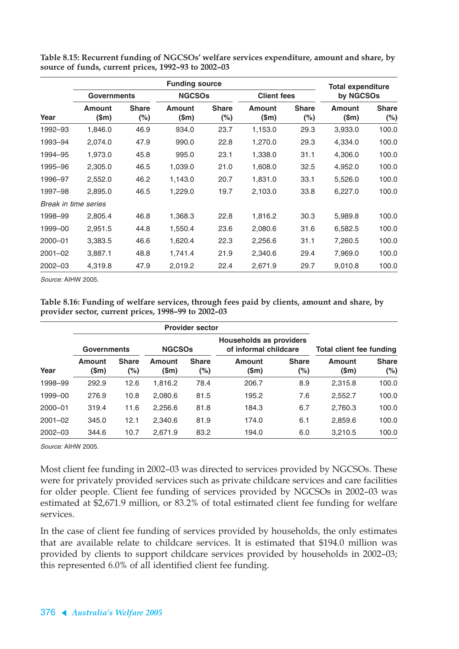|                      |                        | <b>Total expenditure</b> |                        |                        |                          |                        |                        |                        |  |
|----------------------|------------------------|--------------------------|------------------------|------------------------|--------------------------|------------------------|------------------------|------------------------|--|
|                      |                        | <b>Governments</b>       |                        | <b>NGCSOs</b>          |                          | <b>Client fees</b>     |                        | by NGCSOs              |  |
| Year                 | <b>Amount</b><br>\$m\$ | <b>Share</b><br>$(\%)$   | <b>Amount</b><br>(\$m) | <b>Share</b><br>$(\%)$ | <b>Amount</b><br>$(\$m)$ | <b>Share</b><br>$(\%)$ | <b>Amount</b><br>(\$m) | <b>Share</b><br>$(\%)$ |  |
| 1992-93              | 1,846.0                | 46.9                     | 934.0                  | 23.7                   | 1,153.0                  | 29.3                   | 3,933.0                | 100.0                  |  |
| 1993-94              | 2,074.0                | 47.9                     | 990.0                  | 22.8                   | 1,270.0                  | 29.3                   | 4,334.0                | 100.0                  |  |
| 1994–95              | 1,973.0                | 45.8                     | 995.0                  | 23.1                   | 1,338.0                  | 31.1                   | 4,306.0                | 100.0                  |  |
| 1995–96              | 2,305.0                | 46.5                     | 1,039.0                | 21.0                   | 1,608.0                  | 32.5                   | 4,952.0                | 100.0                  |  |
| 1996-97              | 2,552.0                | 46.2                     | 1,143.0                | 20.7                   | 1,831.0                  | 33.1                   | 5,526.0                | 100.0                  |  |
| 1997-98              | 2,895.0                | 46.5                     | 1,229.0                | 19.7                   | 2,103.0                  | 33.8                   | 6,227.0                | 100.0                  |  |
| Break in time series |                        |                          |                        |                        |                          |                        |                        |                        |  |
| 1998–99              | 2,805.4                | 46.8                     | 1,368.3                | 22.8                   | 1,816.2                  | 30.3                   | 5,989.8                | 100.0                  |  |
| 1999-00              | 2,951.5                | 44.8                     | 1,550.4                | 23.6                   | 2,080.6                  | 31.6                   | 6,582.5                | 100.0                  |  |
| 2000-01              | 3,383.5                | 46.6                     | 1,620.4                | 22.3                   | 2,256.6                  | 31.1                   | 7,260.5                | 100.0                  |  |
| $2001 - 02$          | 3,887.1                | 48.8                     | 1,741.4                | 21.9                   | 2,340.6                  | 29.4                   | 7,969.0                | 100.0                  |  |
| $2002 - 03$          | 4,319.8                | 47.9                     | 2,019.2                | 22.4                   | 2,671.9                  | 29.7                   | 9,010.8                | 100.0                  |  |

**Table 8.15: Recurrent funding of NGCSOs' welfare services expenditure, amount and share, by source of funds, current prices, 1992–93 to 2002–03**

Source: AIHW 2005.

**Table 8.16: Funding of welfare services, through fees paid by clients, amount and share, by provider sector, current prices, 1998–99 to 2002–03**

|             | <b>Governments</b> |                     | <b>NGCSOs</b>     |                        | <b>Households as providers</b><br>of informal childcare |                        | Total client fee funding |                        |
|-------------|--------------------|---------------------|-------------------|------------------------|---------------------------------------------------------|------------------------|--------------------------|------------------------|
| Year        | Amount<br>(\$m)    | <b>Share</b><br>(%) | Amount<br>$(\$m)$ | <b>Share</b><br>$(\%)$ | Amount<br>$(\$m)$                                       | <b>Share</b><br>$(\%)$ | <b>Amount</b><br>$(\$m)$ | <b>Share</b><br>$(\%)$ |
| 1998-99     | 292.9              | 12.6                | 1,816.2           | 78.4                   | 206.7                                                   | 8.9                    | 2,315.8                  | 100.0                  |
| 1999-00     | 276.9              | 10.8                | 2,080.6           | 81.5                   | 195.2                                                   | 7.6                    | 2,552.7                  | 100.0                  |
| $2000 - 01$ | 319.4              | 11.6                | 2,256.6           | 81.8                   | 184.3                                                   | 6.7                    | 2.760.3                  | 100.0                  |
| $2001 - 02$ | 345.0              | 12.1                | 2,340.6           | 81.9                   | 174.0                                                   | 6.1                    | 2,859.6                  | 100.0                  |
| $2002 - 03$ | 344.6              | 10.7                | 2,671.9           | 83.2                   | 194.0                                                   | 6.0                    | 3,210.5                  | 100.0                  |

Source: AIHW 2005.

Most client fee funding in 2002–03 was directed to services provided by NGCSOs. These were for privately provided services such as private childcare services and care facilities for older people. Client fee funding of services provided by NGCSOs in 2002–03 was estimated at \$2,671.9 million, or 83.2% of total estimated client fee funding for welfare services.

In the case of client fee funding of services provided by households, the only estimates that are available relate to childcare services. It is estimated that \$194.0 million was provided by clients to support childcare services provided by households in 2002–03; this represented 6.0% of all identified client fee funding.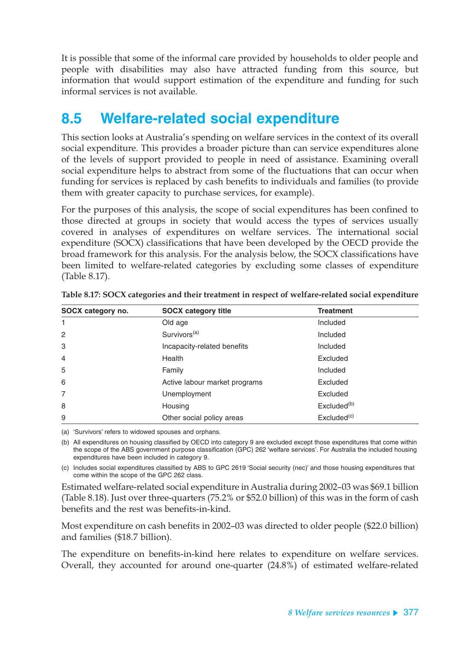It is possible that some of the informal care provided by households to older people and people with disabilities may also have attracted funding from this source, but information that would support estimation of the expenditure and funding for such informal services is not available.

# **8.5 Welfare-related social expenditure**

This section looks at Australia's spending on welfare services in the context of its overall social expenditure. This provides a broader picture than can service expenditures alone of the levels of support provided to people in need of assistance. Examining overall social expenditure helps to abstract from some of the fluctuations that can occur when funding for services is replaced by cash benefits to individuals and families (to provide them with greater capacity to purchase services, for example).

For the purposes of this analysis, the scope of social expenditures has been confined to those directed at groups in society that would access the types of services usually covered in analyses of expenditures on welfare services. The international social expenditure (SOCX) classifications that have been developed by the OECD provide the broad framework for this analysis. For the analysis below, the SOCX classifications have been limited to welfare-related categories by excluding some classes of expenditure (Table 8.17).

| SOCX category no. | <b>SOCX category title</b>    | <b>Treatment</b>        |  |
|-------------------|-------------------------------|-------------------------|--|
| 1                 | Old age                       | Included                |  |
| 2                 | Survivors <sup>(a)</sup>      | Included                |  |
| 3                 | Incapacity-related benefits   | Included                |  |
| $\overline{4}$    | Health                        | Excluded                |  |
| 5                 | Family                        | Included                |  |
| 6                 | Active labour market programs | Excluded                |  |
| $\overline{7}$    | Unemployment                  | Excluded                |  |
| 8                 | Housing                       | Excluded <sup>(b)</sup> |  |
| 9                 | Other social policy areas     | Excluded <sup>(c)</sup> |  |

**Table 8.17: SOCX categories and their treatment in respect of welfare-related social expenditure**

(a) 'Survivors' refers to widowed spouses and orphans.

(b) All expenditures on housing classified by OECD into category 9 are excluded except those expenditures that come within the scope of the ABS government purpose classification (GPC) 262 'welfare services'. For Australia the included housing expenditures have been included in category 9.

(c) Includes social expenditures classified by ABS to GPC 2619 'Social security (nec)' and those housing expenditures that come within the scope of the GPC 262 class.

Estimated welfare-related social expenditure in Australia during 2002–03 was \$69.1 billion (Table 8.18). Just over three-quarters (75.2% or \$52.0 billion) of this was in the form of cash benefits and the rest was benefits-in-kind.

Most expenditure on cash benefits in 2002–03 was directed to older people (\$22.0 billion) and families (\$18.7 billion).

The expenditure on benefits-in-kind here relates to expenditure on welfare services. Overall, they accounted for around one-quarter (24.8%) of estimated welfare-related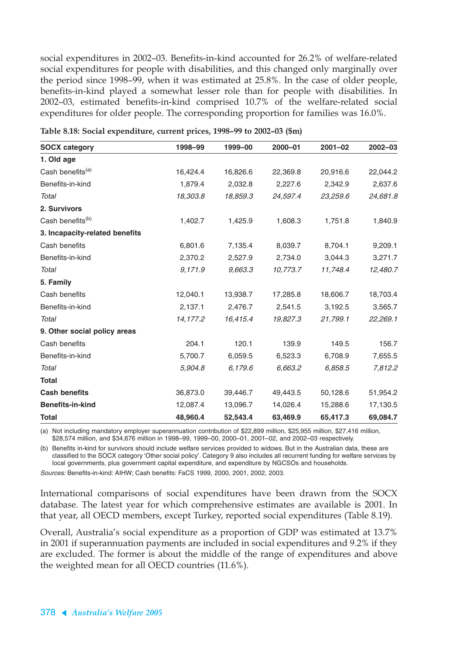social expenditures in 2002–03. Benefits-in-kind accounted for 26.2% of welfare-related social expenditures for people with disabilities, and this changed only marginally over the period since 1998–99, when it was estimated at 25.8%. In the case of older people, benefits-in-kind played a somewhat lesser role than for people with disabilities. In 2002–03, estimated benefits-in-kind comprised 10.7% of the welfare-related social expenditures for older people. The corresponding proportion for families was 16.0%.

| <b>SOCX category</b>           | 1998-99  | 1999-00  | $2000 - 01$ | $2001 - 02$ | $2002 - 03$ |
|--------------------------------|----------|----------|-------------|-------------|-------------|
| 1. Old age                     |          |          |             |             |             |
| Cash benefits <sup>(a)</sup>   | 16,424.4 | 16,826.6 | 22,369.8    | 20,916.6    | 22,044.2    |
| Benefits-in-kind               | 1,879.4  | 2,032.8  | 2,227.6     | 2,342.9     | 2,637.6     |
| Total                          | 18,303.8 | 18,859.3 | 24,597.4    | 23,259.6    | 24,681.8    |
| 2. Survivors                   |          |          |             |             |             |
| Cash benefits <sup>(b)</sup>   | 1,402.7  | 1,425.9  | 1,608.3     | 1,751.8     | 1,840.9     |
| 3. Incapacity-related benefits |          |          |             |             |             |
| Cash benefits                  | 6,801.6  | 7,135.4  | 8,039.7     | 8,704.1     | 9,209.1     |
| Benefits-in-kind               | 2,370.2  | 2,527.9  | 2,734.0     | 3,044.3     | 3,271.7     |
| Total                          | 9,171.9  | 9,663.3  | 10,773.7    | 11,748.4    | 12,480.7    |
| 5. Family                      |          |          |             |             |             |
| Cash benefits                  | 12,040.1 | 13,938.7 | 17,285.8    | 18,606.7    | 18,703.4    |
| Benefits-in-kind               | 2,137.1  | 2,476.7  | 2,541.5     | 3,192.5     | 3,565.7     |
| Total                          | 14,177.2 | 16,415.4 | 19,827.3    | 21,799.1    | 22,269.1    |
| 9. Other social policy areas   |          |          |             |             |             |
| Cash benefits                  | 204.1    | 120.1    | 139.9       | 149.5       | 156.7       |
| Benefits-in-kind               | 5,700.7  | 6,059.5  | 6,523.3     | 6,708.9     | 7,655.5     |
| Total                          | 5,904.8  | 6,179.6  | 6,663.2     | 6,858.5     | 7,812.2     |
| <b>Total</b>                   |          |          |             |             |             |
| <b>Cash benefits</b>           | 36,873.0 | 39,446.7 | 49,443.5    | 50,128.6    | 51,954.2    |
| <b>Benefits-in-kind</b>        | 12,087.4 | 13,096.7 | 14,026.4    | 15,288.6    | 17,130.5    |
| <b>Total</b>                   | 48,960.4 | 52,543.4 | 63,469.9    | 65,417.3    | 69,084.7    |

**Table 8.18: Social expenditure, current prices, 1998–99 to 2002–03 (\$m)**

(a) Not including mandatory employer superannuation contribution of \$22,899 million, \$25,955 million, \$27,416 million, \$28,574 million, and \$34,676 million in 1998–99, 1999–00, 2000–01, 2001–02, and 2002–03 respectively.

(b) Benefits in-kind for survivors should include welfare services provided to widows. But in the Australian data, these are classified to the SOCX category 'Other social policy'. Category 9 also includes all recurrent funding for welfare services by local governments, plus government capital expenditure, and expenditure by NGCSOs and households.

Sources: Benefits-in-kind: AIHW; Cash benefits: FaCS 1999, 2000, 2001, 2002, 2003.

International comparisons of social expenditures have been drawn from the SOCX database. The latest year for which comprehensive estimates are available is 2001. In that year, all OECD members, except Turkey, reported social expenditures (Table 8.19).

Overall, Australia's social expenditure as a proportion of GDP was estimated at 13.7% in 2001 if superannuation payments are included in social expenditures and 9.2% if they are excluded. The former is about the middle of the range of expenditures and above the weighted mean for all OECD countries (11.6%).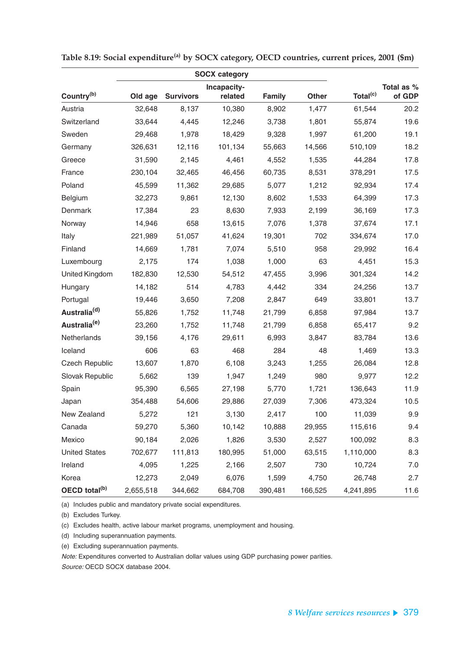|                           |           |                  | <b>SOCX category</b> |               |              |                      |            |
|---------------------------|-----------|------------------|----------------------|---------------|--------------|----------------------|------------|
|                           |           |                  | Incapacity-          |               |              |                      | Total as % |
| Country <sup>(b)</sup>    | Old age   | <b>Survivors</b> | related              | <b>Family</b> | <b>Other</b> | Total <sup>(c)</sup> | of GDP     |
| Austria                   | 32,648    | 8,137            | 10,380               | 8,902         | 1,477        | 61,544               | 20.2       |
| Switzerland               | 33,644    | 4,445            | 12,246               | 3,738         | 1,801        | 55,874               | 19.6       |
| Sweden                    | 29,468    | 1,978            | 18,429               | 9,328         | 1,997        | 61,200               | 19.1       |
| Germany                   | 326,631   | 12,116           | 101,134              | 55,663        | 14,566       | 510,109              | 18.2       |
| Greece                    | 31,590    | 2,145            | 4,461                | 4,552         | 1,535        | 44,284               | 17.8       |
| France                    | 230,104   | 32,465           | 46,456               | 60,735        | 8,531        | 378,291              | 17.5       |
| Poland                    | 45,599    | 11,362           | 29,685               | 5,077         | 1,212        | 92,934               | 17.4       |
| Belgium                   | 32,273    | 9,861            | 12,130               | 8,602         | 1,533        | 64,399               | 17.3       |
| Denmark                   | 17,384    | 23               | 8,630                | 7,933         | 2,199        | 36,169               | 17.3       |
| Norway                    | 14,946    | 658              | 13,615               | 7,076         | 1,378        | 37,674               | 17.1       |
| Italy                     | 221,989   | 51,057           | 41,624               | 19,301        | 702          | 334,674              | 17.0       |
| Finland                   | 14,669    | 1,781            | 7,074                | 5,510         | 958          | 29,992               | 16.4       |
| Luxembourg                | 2,175     | 174              | 1,038                | 1,000         | 63           | 4,451                | 15.3       |
| United Kingdom            | 182,830   | 12,530           | 54,512               | 47,455        | 3,996        | 301,324              | 14.2       |
| Hungary                   | 14,182    | 514              | 4,783                | 4,442         | 334          | 24,256               | 13.7       |
| Portugal                  | 19,446    | 3,650            | 7,208                | 2,847         | 649          | 33,801               | 13.7       |
| Australia <sup>(d)</sup>  | 55,826    | 1,752            | 11,748               | 21,799        | 6,858        | 97,984               | 13.7       |
| Australia <sup>(e)</sup>  | 23,260    | 1,752            | 11,748               | 21,799        | 6,858        | 65,417               | 9.2        |
| Netherlands               | 39,156    | 4,176            | 29,611               | 6,993         | 3,847        | 83,784               | 13.6       |
| Iceland                   | 606       | 63               | 468                  | 284           | 48           | 1,469                | 13.3       |
| <b>Czech Republic</b>     | 13,607    | 1,870            | 6,108                | 3,243         | 1,255        | 26,084               | 12.8       |
| Slovak Republic           | 5,662     | 139              | 1,947                | 1,249         | 980          | 9,977                | 12.2       |
| Spain                     | 95,390    | 6,565            | 27,198               | 5,770         | 1,721        | 136,643              | 11.9       |
| Japan                     | 354,488   | 54,606           | 29,886               | 27,039        | 7,306        | 473,324              | 10.5       |
| New Zealand               | 5,272     | 121              | 3,130                | 2,417         | 100          | 11,039               | 9.9        |
| Canada                    | 59,270    | 5,360            | 10,142               | 10,888        | 29,955       | 115,616              | 9.4        |
| Mexico                    | 90,184    | 2,026            | 1,826                | 3,530         | 2,527        | 100,092              | 8.3        |
| <b>United States</b>      | 702,677   | 111,813          | 180,995              | 51,000        | 63,515       | 1,110,000            | 8.3        |
| Ireland                   | 4,095     | 1,225            | 2,166                | 2,507         | 730          | 10,724               | 7.0        |
| Korea                     | 12,273    | 2,049            | 6,076                | 1,599         | 4,750        | 26,748               | 2.7        |
| OECD total <sup>(b)</sup> | 2,655,518 | 344,662          | 684,708              | 390,481       | 166,525      | 4,241,895            | 11.6       |

**Table 8.19: Social expenditure(a) by SOCX category, OECD countries, current prices, 2001 (\$m)**

(a) Includes public and mandatory private social expenditures.

(b) Excludes Turkey.

(c) Excludes health, active labour market programs, unemployment and housing.

(d) Including superannuation payments.

(e) Excluding superannuation payments.

Note: Expenditures converted to Australian dollar values using GDP purchasing power parities.

Source: OECD SOCX database 2004.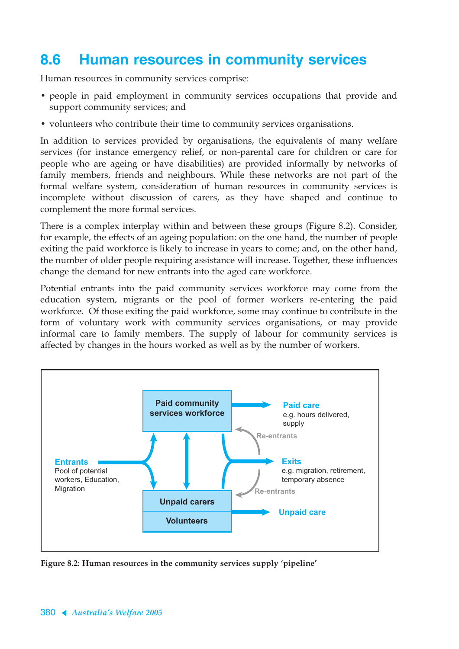# **8.6 Human resources in community services**

Human resources in community services comprise:

- people in paid employment in community services occupations that provide and support community services; and
- volunteers who contribute their time to community services organisations.

In addition to services provided by organisations, the equivalents of many welfare services (for instance emergency relief, or non-parental care for children or care for people who are ageing or have disabilities) are provided informally by networks of family members, friends and neighbours. While these networks are not part of the formal welfare system, consideration of human resources in community services is incomplete without discussion of carers, as they have shaped and continue to complement the more formal services.

There is a complex interplay within and between these groups (Figure 8.2). Consider, for example, the effects of an ageing population: on the one hand, the number of people exiting the paid workforce is likely to increase in years to come; and, on the other hand, the number of older people requiring assistance will increase. Together, these influences change the demand for new entrants into the aged care workforce.

Potential entrants into the paid community services workforce may come from the education system, migrants or the pool of former workers re-entering the paid workforce. Of those exiting the paid workforce, some may continue to contribute in the form of voluntary work with community services organisations, or may provide informal care to family members. The supply of labour for community services is affected by changes in the hours worked as well as by the number of workers.



**Figure 8.2: Human resources in the community services supply 'pipeline'**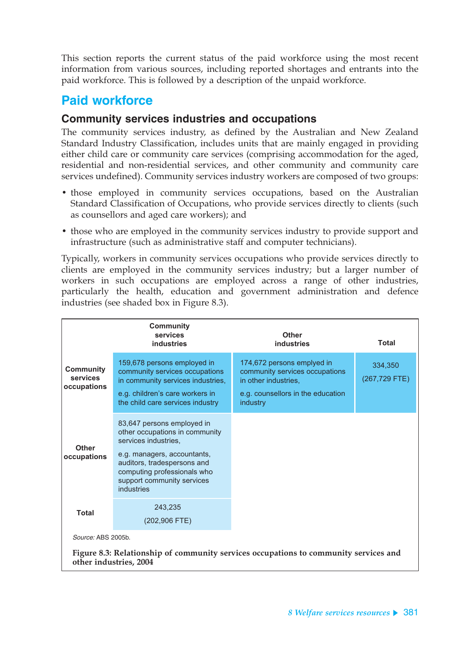This section reports the current status of the paid workforce using the most recent information from various sources, including reported shortages and entrants into the paid workforce. This is followed by a description of the unpaid workforce.

## **Paid workforce**

### **Community services industries and occupations**

The community services industry, as defined by the Australian and New Zealand Standard Industry Classification, includes units that are mainly engaged in providing either child care or community care services (comprising accommodation for the aged, residential and non-residential services, and other community and community care services undefined). Community services industry workers are composed of two groups:

- those employed in community services occupations, based on the Australian Standard Classification of Occupations, who provide services directly to clients (such as counsellors and aged care workers); and
- those who are employed in the community services industry to provide support and infrastructure (such as administrative staff and computer technicians).

Typically, workers in community services occupations who provide services directly to clients are employed in the community services industry; but a larger number of workers in such occupations are employed across a range of other industries, particularly the health, education and government administration and defence industries (see shaded box in Figure 8.3).

|                                             | <b>Community</b><br>services<br><b>industries</b>                                                                                                                                                                             | <b>Other</b><br>industries                                                                                                            | <b>Total</b>             |
|---------------------------------------------|-------------------------------------------------------------------------------------------------------------------------------------------------------------------------------------------------------------------------------|---------------------------------------------------------------------------------------------------------------------------------------|--------------------------|
| <b>Community</b><br>services<br>occupations | 159,678 persons employed in<br>community services occupations<br>in community services industries,<br>e.g. children's care workers in<br>the child care services industry                                                     | 174,672 persons emplyed in<br>community services occupations<br>in other industries,<br>e.g. counsellors in the education<br>industry | 334,350<br>(267,729 FTE) |
| <b>Other</b><br>occupations                 | 83,647 persons employed in<br>other occupations in community<br>services industries,<br>e.g. managers, accountants,<br>auditors, tradespersons and<br>computing professionals who<br>support community services<br>industries |                                                                                                                                       |                          |
| <b>Total</b>                                | 243,235<br>(202,906 FTE)                                                                                                                                                                                                      |                                                                                                                                       |                          |
| Source: ABS 2005b.                          |                                                                                                                                                                                                                               |                                                                                                                                       |                          |
|                                             | other industries, 2004                                                                                                                                                                                                        | Figure 8.3: Relationship of community services occupations to community services and                                                  |                          |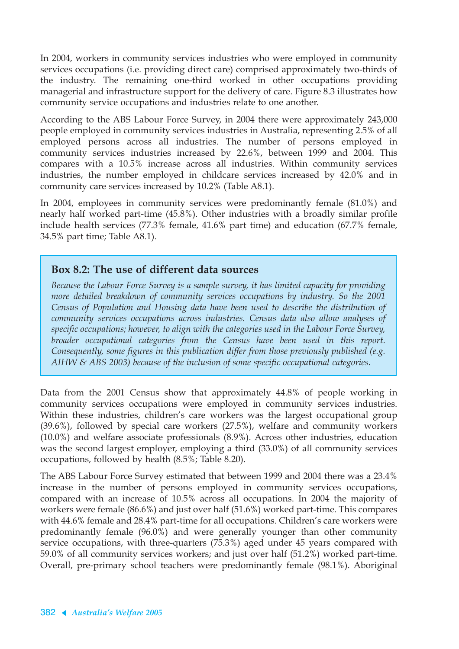In 2004, workers in community services industries who were employed in community services occupations (i.e. providing direct care) comprised approximately two-thirds of the industry. The remaining one-third worked in other occupations providing managerial and infrastructure support for the delivery of care. Figure 8.3 illustrates how community service occupations and industries relate to one another.

According to the ABS Labour Force Survey, in 2004 there were approximately 243,000 people employed in community services industries in Australia, representing 2.5% of all employed persons across all industries. The number of persons employed in community services industries increased by 22.6%, between 1999 and 2004. This compares with a 10.5% increase across all industries. Within community services industries, the number employed in childcare services increased by 42.0% and in community care services increased by 10.2% (Table A8.1).

In 2004, employees in community services were predominantly female (81.0%) and nearly half worked part-time (45.8%). Other industries with a broadly similar profile include health services (77.3% female, 41.6% part time) and education (67.7% female, 34.5% part time; Table A8.1).

#### **Box 8.2: The use of different data sources**

*Because the Labour Force Survey is a sample survey, it has limited capacity for providing more detailed breakdown of community services occupations by industry. So the 2001 Census of Population and Housing data have been used to describe the distribution of community services occupations across industries. Census data also allow analyses of specific occupations; however, to align with the categories used in the Labour Force Survey, broader occupational categories from the Census have been used in this report. Consequently, some figures in this publication differ from those previously published (e.g. AIHW & ABS 2003) because of the inclusion of some specific occupational categories.*

Data from the 2001 Census show that approximately 44.8% of people working in community services occupations were employed in community services industries. Within these industries, children's care workers was the largest occupational group (39.6%), followed by special care workers (27.5%), welfare and community workers (10.0%) and welfare associate professionals (8.9%). Across other industries, education was the second largest employer, employing a third (33.0%) of all community services occupations, followed by health (8.5%; Table 8.20).

The ABS Labour Force Survey estimated that between 1999 and 2004 there was a 23.4% increase in the number of persons employed in community services occupations, compared with an increase of 10.5% across all occupations. In 2004 the majority of workers were female (86.6%) and just over half (51.6%) worked part-time. This compares with 44.6% female and 28.4% part-time for all occupations. Children's care workers were predominantly female (96.0%) and were generally younger than other community service occupations, with three-quarters (75.3%) aged under 45 years compared with 59.0% of all community services workers; and just over half (51.2%) worked part-time. Overall, pre-primary school teachers were predominantly female (98.1%). Aboriginal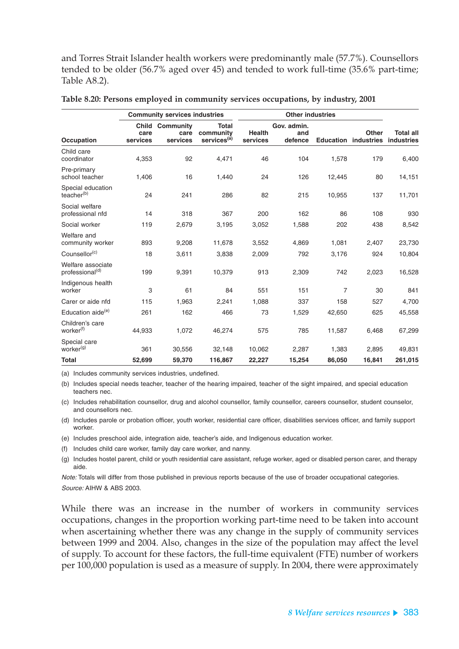and Torres Strait Islander health workers were predominantly male (57.7%). Counsellors tended to be older (56.7% aged over 45) and tended to work full-time (35.6% part-time; Table A8.2).

|                                                  |                                  | <b>Community services industries</b> |                                                      |                           |                               |                  |                            |                                |
|--------------------------------------------------|----------------------------------|--------------------------------------|------------------------------------------------------|---------------------------|-------------------------------|------------------|----------------------------|--------------------------------|
| <b>Occupation</b>                                | <b>Child</b><br>care<br>services | <b>Community</b><br>care<br>services | <b>Total</b><br>community<br>services <sup>(a)</sup> | <b>Health</b><br>services | Gov. admin.<br>and<br>defence | <b>Education</b> | Other<br><b>industries</b> | <b>Total all</b><br>industries |
| Child care<br>coordinator                        | 4,353                            | 92                                   | 4,471                                                | 46                        | 104                           | 1,578            | 179                        | 6,400                          |
| Pre-primary<br>school teacher                    | 1,406                            | 16                                   | 1,440                                                | 24                        | 126                           | 12,445           | 80                         | 14,151                         |
| Special education<br>teacher <sup>(b)</sup>      | 24                               | 241                                  | 286                                                  | 82                        | 215                           | 10,955           | 137                        | 11,701                         |
| Social welfare<br>professional nfd               | 14                               | 318                                  | 367                                                  | 200                       | 162                           | 86               | 108                        | 930                            |
| Social worker                                    | 119                              | 2,679                                | 3,195                                                | 3,052                     | 1,588                         | 202              | 438                        | 8,542                          |
| Welfare and<br>community worker                  | 893                              | 9,208                                | 11,678                                               | 3,552                     | 4,869                         | 1,081            | 2,407                      | 23,730                         |
| Counsellor <sup>(c)</sup>                        | 18                               | 3,611                                | 3,838                                                | 2,009                     | 792                           | 3,176            | 924                        | 10,804                         |
| Welfare associate<br>professional <sup>(d)</sup> | 199                              | 9,391                                | 10,379                                               | 913                       | 2,309                         | 742              | 2,023                      | 16,528                         |
| Indigenous health<br>worker                      | 3                                | 61                                   | 84                                                   | 551                       | 151                           | $\overline{7}$   | 30                         | 841                            |
| Carer or aide nfd                                | 115                              | 1,963                                | 2,241                                                | 1,088                     | 337                           | 158              | 527                        | 4,700                          |
| Education aide <sup>(e)</sup>                    | 261                              | 162                                  | 466                                                  | 73                        | 1,529                         | 42,650           | 625                        | 45,558                         |
| Children's care<br>worker <sup>(f)</sup>         | 44,933                           | 1,072                                | 46,274                                               | 575                       | 785                           | 11,587           | 6,468                      | 67,299                         |
| Special care<br>worker <sup>(g)</sup>            | 361                              | 30,556                               | 32,148                                               | 10,062                    | 2,287                         | 1,383            | 2,895                      | 49,831                         |
| <b>Total</b>                                     | 52,699                           | 59,370                               | 116,867                                              | 22,227                    | 15,254                        | 86,050           | 16,841                     | 261,015                        |

**Table 8.20: Persons employed in community services occupations, by industry, 2001**

(a) Includes community services industries, undefined.

(b) Includes special needs teacher, teacher of the hearing impaired, teacher of the sight impaired, and special education teachers nec.

(c) Includes rehabilitation counsellor, drug and alcohol counsellor, family counsellor, careers counsellor, student counselor, and counsellors nec.

(d) Includes parole or probation officer, youth worker, residential care officer, disabilities services officer, and family support worker.

(e) Includes preschool aide, integration aide, teacher's aide, and Indigenous education worker.

(f) Includes child care worker, family day care worker, and nanny.

(g) Includes hostel parent, child or youth residential care assistant, refuge worker, aged or disabled person carer, and therapy aide.

Note: Totals will differ from those published in previous reports because of the use of broader occupational categories. Source: AIHW & ABS 2003.

While there was an increase in the number of workers in community services occupations, changes in the proportion working part-time need to be taken into account when ascertaining whether there was any change in the supply of community services between 1999 and 2004. Also, changes in the size of the population may affect the level of supply. To account for these factors, the full-time equivalent (FTE) number of workers per 100,000 population is used as a measure of supply. In 2004, there were approximately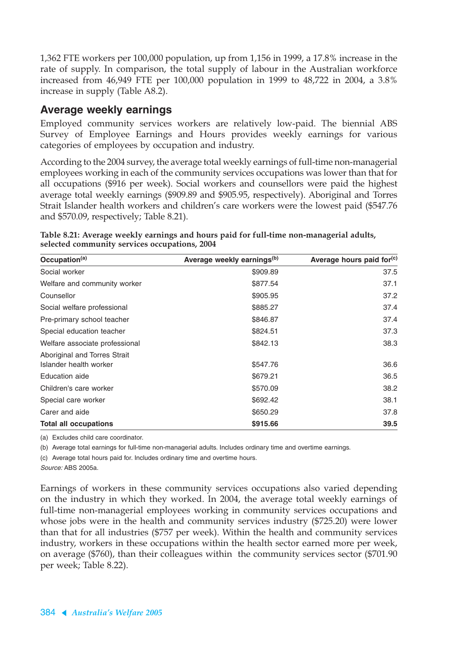1,362 FTE workers per 100,000 population, up from 1,156 in 1999, a 17.8% increase in the rate of supply. In comparison, the total supply of labour in the Australian workforce increased from 46,949 FTE per 100,000 population in 1999 to 48,722 in 2004, a 3.8% increase in supply (Table A8.2).

### **Average weekly earnings**

Employed community services workers are relatively low-paid. The biennial ABS Survey of Employee Earnings and Hours provides weekly earnings for various categories of employees by occupation and industry.

According to the 2004 survey, the average total weekly earnings of full-time non-managerial employees working in each of the community services occupations was lower than that for all occupations (\$916 per week). Social workers and counsellors were paid the highest average total weekly earnings (\$909.89 and \$905.95, respectively). Aboriginal and Torres Strait Islander health workers and children's care workers were the lowest paid (\$547.76 and \$570.09, respectively; Table 8.21).

| Table 8.21: Average weekly earnings and hours paid for full-time non-managerial adults, |  |  |
|-----------------------------------------------------------------------------------------|--|--|
| selected community services occupations, 2004                                           |  |  |

| Occupation <sup>(a)</sup>                              | Average weekly earnings <sup>(b)</sup> | Average hours paid for <sup>(c)</sup> |
|--------------------------------------------------------|----------------------------------------|---------------------------------------|
| Social worker                                          | \$909.89                               | 37.5                                  |
| Welfare and community worker                           | \$877.54                               | 37.1                                  |
| Counsellor                                             | \$905.95                               | 37.2                                  |
| Social welfare professional                            | \$885.27                               | 37.4                                  |
| Pre-primary school teacher                             | \$846.87                               | 37.4                                  |
| Special education teacher                              | \$824.51                               | 37.3                                  |
| Welfare associate professional                         | \$842.13                               | 38.3                                  |
| Aboriginal and Torres Strait<br>Islander health worker | \$547.76                               | 36.6                                  |
| Education aide                                         | \$679.21                               | 36.5                                  |
| Children's care worker                                 | \$570.09                               | 38.2                                  |
| Special care worker                                    | \$692.42                               | 38.1                                  |
| Carer and aide                                         | \$650.29                               | 37.8                                  |
| <b>Total all occupations</b>                           | \$915.66                               | 39.5                                  |

(a) Excludes child care coordinator.

(b) Average total earnings for full-time non-managerial adults. Includes ordinary time and overtime earnings.

(c) Average total hours paid for. Includes ordinary time and overtime hours.

Source: ABS 2005a.

Earnings of workers in these community services occupations also varied depending on the industry in which they worked. In 2004, the average total weekly earnings of full-time non-managerial employees working in community services occupations and whose jobs were in the health and community services industry (\$725.20) were lower than that for all industries (\$757 per week). Within the health and community services industry, workers in these occupations within the health sector earned more per week, on average (\$760), than their colleagues within the community services sector (\$701.90 per week; Table 8.22).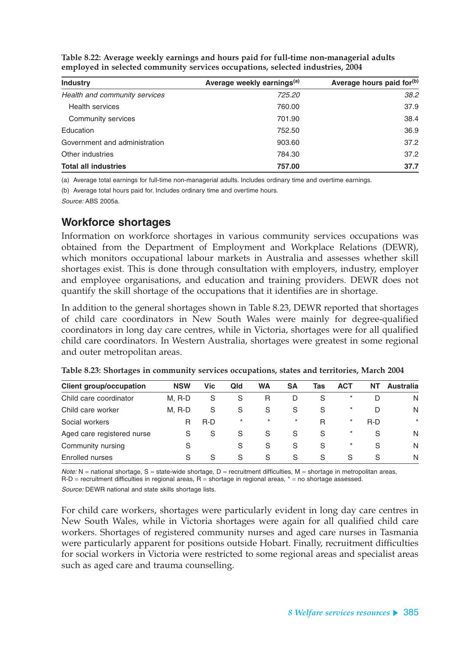**Table 8.22: Average weekly earnings and hours paid for full-time non-managerial adults employed in selected community services occupations, selected industries, 2004**

| <b>Industry</b>               | Average weekly earnings <sup>(a)</sup> | Average hours paid for <sup>(b)</sup> |
|-------------------------------|----------------------------------------|---------------------------------------|
| Health and community services | 725.20                                 | 38.2                                  |
| <b>Health services</b>        | 760.00                                 | 37.9                                  |
| Community services            | 701.90                                 | 38.4                                  |
| Education                     | 752.50                                 | 36.9                                  |
| Government and administration | 903.60                                 | 37.2                                  |
| Other industries              | 784.30                                 | 37.2                                  |
| <b>Total all industries</b>   | 757.00                                 | 37.7                                  |

(a) Average total earnings for full-time non-managerial adults. Includes ordinary time and overtime earnings.

(b) Average total hours paid for. Includes ordinary time and overtime hours.

Source: ABS 2005a.

### **Workforce shortages**

Information on workforce shortages in various community services occupations was obtained from the Department of Employment and Workplace Relations (DEWR), which monitors occupational labour markets in Australia and assesses whether skill shortages exist. This is done through consultation with employers, industry, employer and employee organisations, and education and training providers. DEWR does not quantify the skill shortage of the occupations that it identifies are in shortage.

In addition to the general shortages shown in Table 8.23, DEWR reported that shortages of child care coordinators in New South Wales were mainly for degree-qualified coordinators in long day care centres, while in Victoria, shortages were for all qualified child care coordinators. In Western Australia, shortages were greatest in some regional and outer metropolitan areas.

| <b>Client group/occupation</b> | <b>NSW</b> | <b>Vic</b> | Qld     | <b>WA</b> | SΑ           | Tas          | ACT      | NT  | Australia |
|--------------------------------|------------|------------|---------|-----------|--------------|--------------|----------|-----|-----------|
| Child care coordinator         | $M.$ R-D   | S          | S       | R         | D            | <sub>S</sub> | $\star$  |     | N         |
| Child care worker              | M. R-D     | S          | S       | S         | S            | S            | $^\star$ | D   | N         |
| Social workers                 | R          | R-D        | $\star$ | $\star$   | $\star$      | R            | $^\star$ | R-D | $\star$   |
| Aged care registered nurse     | S          | S          | S       | S         | S            | S            | $\star$  | S   | N         |
| Community nursing              | S          |            | S       | S         | <sub>S</sub> | <sub>S</sub> | $\star$  | S   | N         |
| Enrolled nurses                | S          | S          | S       | S         | S            | S            | S        | `S  | N         |

**Table 8.23: Shortages in community services occupations, states and territories, March 2004**

 $Note: N =$  national shortage,  $S =$  state-wide shortage,  $D =$  recruitment difficulties,  $M =$  shortage in metropolitan areas,  $R-D$  = recruitment difficulties in regional areas,  $R =$  shortage in regional areas,  $* =$  no shortage assessed.

Source: DEWR national and state skills shortage lists.

For child care workers, shortages were particularly evident in long day care centres in New South Wales, while in Victoria shortages were again for all qualified child care workers. Shortages of registered community nurses and aged care nurses in Tasmania were particularly apparent for positions outside Hobart. Finally, recruitment difficulties for social workers in Victoria were restricted to some regional areas and specialist areas such as aged care and trauma counselling.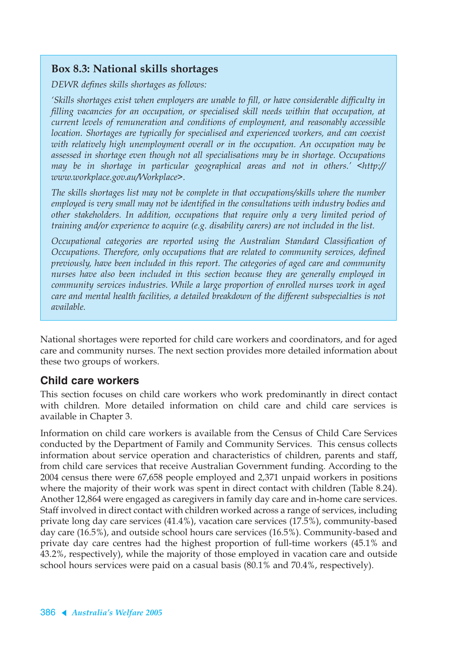### **Box 8.3: National skills shortages**

*DEWR defines skills shortages as follows:*

*'Skills shortages exist when employers are unable to fill, or have considerable difficulty in filling vacancies for an occupation, or specialised skill needs within that occupation, at current levels of remuneration and conditions of employment, and reasonably accessible location. Shortages are typically for specialised and experienced workers, and can coexist with relatively high unemployment overall or in the occupation. An occupation may be assessed in shortage even though not all specialisations may be in shortage. Occupations may be in shortage in particular geographical areas and not in others.' <http:// www.workplace.gov.au/Workplace>.*

*The skills shortages list may not be complete in that occupations/skills where the number employed is very small may not be identified in the consultations with industry bodies and other stakeholders. In addition, occupations that require only a very limited period of training and/or experience to acquire (e.g. disability carers) are not included in the list.*

*Occupational categories are reported using the Australian Standard Classification of Occupations. Therefore, only occupations that are related to community services, defined previously, have been included in this report. The categories of aged care and community nurses have also been included in this section because they are generally employed in community services industries. While a large proportion of enrolled nurses work in aged care and mental health facilities, a detailed breakdown of the different subspecialties is not available.*

National shortages were reported for child care workers and coordinators, and for aged care and community nurses. The next section provides more detailed information about these two groups of workers.

### **Child care workers**

This section focuses on child care workers who work predominantly in direct contact with children. More detailed information on child care and child care services is available in Chapter 3.

Information on child care workers is available from the Census of Child Care Services conducted by the Department of Family and Community Services. This census collects information about service operation and characteristics of children, parents and staff, from child care services that receive Australian Government funding. According to the 2004 census there were 67,658 people employed and 2,371 unpaid workers in positions where the majority of their work was spent in direct contact with children (Table 8.24). Another 12,864 were engaged as caregivers in family day care and in-home care services. Staff involved in direct contact with children worked across a range of services, including private long day care services (41.4%), vacation care services (17.5%), community-based day care (16.5%), and outside school hours care services (16.5%). Community-based and private day care centres had the highest proportion of full-time workers (45.1% and 43.2%, respectively), while the majority of those employed in vacation care and outside school hours services were paid on a casual basis (80.1% and 70.4%, respectively).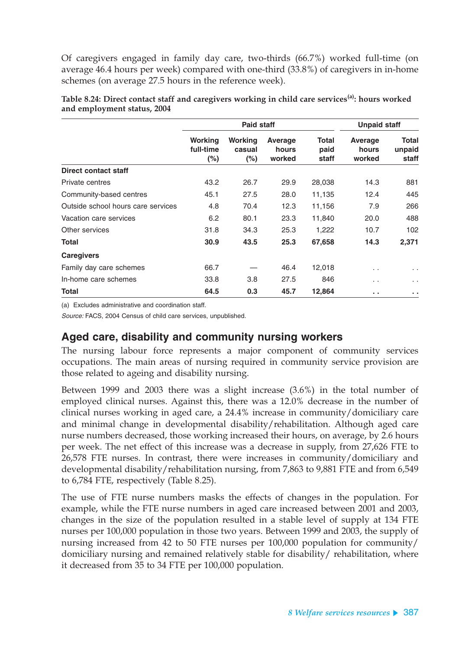Of caregivers engaged in family day care, two-thirds (66.7%) worked full-time (on average 46.4 hours per week) compared with one-third (33.8%) of caregivers in in-home schemes (on average 27.5 hours in the reference week).

|                                    |                                | <b>Paid staff</b>            | <b>Unpaid staff</b>        |                        |                            |                                 |
|------------------------------------|--------------------------------|------------------------------|----------------------------|------------------------|----------------------------|---------------------------------|
|                                    | Working<br>full-time<br>$(\%)$ | Working<br>casual<br>$(\% )$ | Average<br>hours<br>worked | Total<br>paid<br>staff | Average<br>hours<br>worked | <b>Total</b><br>unpaid<br>staff |
| Direct contact staff               |                                |                              |                            |                        |                            |                                 |
| Private centres                    | 43.2                           | 26.7                         | 29.9                       | 28,038                 | 14.3                       | 881                             |
| Community-based centres            | 45.1                           | 27.5                         | 28.0                       | 11,135                 | 12.4                       | 445                             |
| Outside school hours care services | 4.8                            | 70.4                         | 12.3                       | 11,156                 | 7.9                        | 266                             |
| Vacation care services             | 6.2                            | 80.1                         | 23.3                       | 11,840                 | 20.0                       | 488                             |
| Other services                     | 31.8                           | 34.3                         | 25.3                       | 1,222                  | 10.7                       | 102                             |
| <b>Total</b>                       | 30.9                           | 43.5                         | 25.3                       | 67,658                 | 14.3                       | 2,371                           |
| <b>Caregivers</b>                  |                                |                              |                            |                        |                            |                                 |
| Family day care schemes            | 66.7                           |                              | 46.4                       | 12,018                 | $\sim$                     | $\ddotsc$                       |
| In-home care schemes               | 33.8                           | 3.8                          | 27.5                       | 846                    | $\ddotsc$                  | $\mathbf{r}$                    |
| Total                              | 64.5                           | 0.3                          | 45.7                       | 12,864                 | . .                        | . .                             |

**Table 8.24: Direct contact staff and caregivers working in child care services(a): hours worked and employment status, 2004**

(a) Excludes administrative and coordination staff.

Source: FACS, 2004 Census of child care services, unpublished.

### **Aged care, disability and community nursing workers**

The nursing labour force represents a major component of community services occupations. The main areas of nursing required in community service provision are those related to ageing and disability nursing.

Between 1999 and 2003 there was a slight increase (3.6%) in the total number of employed clinical nurses. Against this, there was a 12.0% decrease in the number of clinical nurses working in aged care, a 24.4% increase in community/domiciliary care and minimal change in developmental disability/rehabilitation. Although aged care nurse numbers decreased, those working increased their hours, on average, by 2.6 hours per week. The net effect of this increase was a decrease in supply, from 27,626 FTE to 26,578 FTE nurses. In contrast, there were increases in community/domiciliary and developmental disability/rehabilitation nursing, from 7,863 to 9,881 FTE and from 6,549 to 6,784 FTE, respectively (Table 8.25).

The use of FTE nurse numbers masks the effects of changes in the population. For example, while the FTE nurse numbers in aged care increased between 2001 and 2003, changes in the size of the population resulted in a stable level of supply at 134 FTE nurses per 100,000 population in those two years. Between 1999 and 2003, the supply of nursing increased from 42 to 50 FTE nurses per 100,000 population for community/ domiciliary nursing and remained relatively stable for disability/ rehabilitation, where it decreased from 35 to 34 FTE per 100,000 population.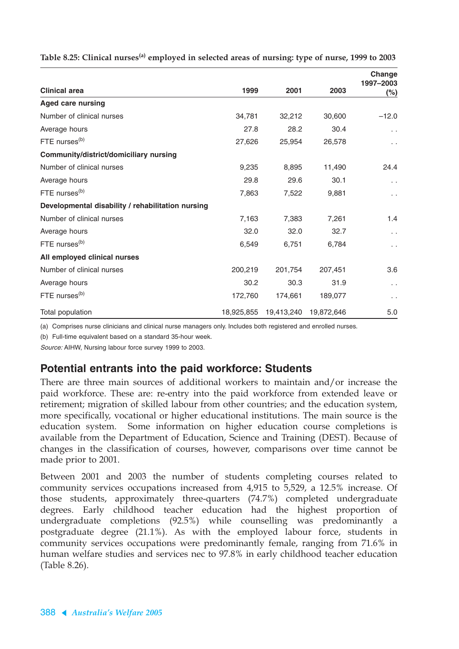|                                                   |         |                       |            | Change              |
|---------------------------------------------------|---------|-----------------------|------------|---------------------|
| <b>Clinical area</b>                              | 1999    | 2001                  | 2003       | 1997-2003<br>$(\%)$ |
| <b>Aged care nursing</b>                          |         |                       |            |                     |
| Number of clinical nurses                         | 34,781  | 32,212                | 30,600     | $-12.0$             |
| Average hours                                     | 27.8    | 28.2                  | 30.4       | $\sim$ $\sim$       |
| FTE nurses <sup>(b)</sup>                         | 27,626  | 25,954                | 26,578     | $\ddotsc$           |
| Community/district/domiciliary nursing            |         |                       |            |                     |
| Number of clinical nurses                         | 9,235   | 8,895                 | 11,490     | 24.4                |
| Average hours                                     | 29.8    | 29.6                  | 30.1       | $\sim$ $\sim$       |
| FTE nurses <sup>(b)</sup>                         | 7,863   | 7,522                 | 9,881      | $\sim$ $\sim$       |
| Developmental disability / rehabilitation nursing |         |                       |            |                     |
| Number of clinical nurses                         | 7,163   | 7,383                 | 7,261      | 1.4                 |
| Average hours                                     | 32.0    | 32.0                  | 32.7       | $\sim$ $\sim$       |
| FTE nurses <sup>(b)</sup>                         | 6,549   | 6,751                 | 6,784      | $\sim$ $\sim$       |
| All employed clinical nurses                      |         |                       |            |                     |
| Number of clinical nurses                         | 200,219 | 201,754               | 207,451    | 3.6                 |
| Average hours                                     | 30.2    | 30.3                  | 31.9       | $\sim$ $\sim$       |
| FTE nurses <sup>(b)</sup>                         | 172,760 | 174,661               | 189,077    | $\sim$ $\sim$       |
| Total population                                  |         | 18,925,855 19,413,240 | 19.872.646 | 5.0                 |

**Table 8.25: Clinical nurses(a) employed in selected areas of nursing: type of nurse, 1999 to 2003**

(a) Comprises nurse clinicians and clinical nurse managers only. Includes both registered and enrolled nurses.

(b) Full-time equivalent based on a standard 35-hour week.

Source: AIHW, Nursing labour force survey 1999 to 2003.

### **Potential entrants into the paid workforce: Students**

There are three main sources of additional workers to maintain and/or increase the paid workforce. These are: re-entry into the paid workforce from extended leave or retirement; migration of skilled labour from other countries; and the education system, more specifically, vocational or higher educational institutions. The main source is the education system. Some information on higher education course completions is available from the Department of Education, Science and Training (DEST). Because of changes in the classification of courses, however, comparisons over time cannot be made prior to 2001.

Between 2001 and 2003 the number of students completing courses related to community services occupations increased from 4,915 to 5,529, a 12.5% increase. Of those students, approximately three-quarters (74.7%) completed undergraduate degrees. Early childhood teacher education had the highest proportion of undergraduate completions (92.5%) while counselling was predominantly a postgraduate degree (21.1%). As with the employed labour force, students in community services occupations were predominantly female, ranging from 71.6% in human welfare studies and services nec to 97.8% in early childhood teacher education (Table 8.26).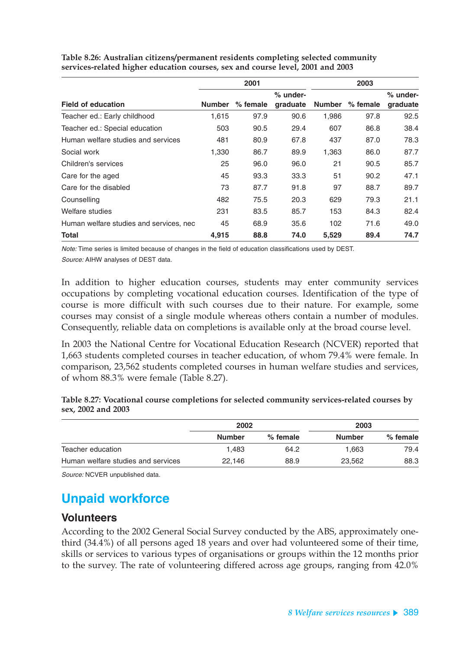|                                         |               | 2001       |                      |               | 2003     |                      |
|-----------------------------------------|---------------|------------|----------------------|---------------|----------|----------------------|
| <b>Field of education</b>               | <b>Number</b> | $%$ female | % under-<br>graduate | <b>Number</b> | % female | % under-<br>graduate |
| Teacher ed.: Early childhood            | 1,615         | 97.9       | 90.6                 | 1,986         | 97.8     | 92.5                 |
| Teacher ed.: Special education          | 503           | 90.5       | 29.4                 | 607           | 86.8     | 38.4                 |
| Human welfare studies and services      | 481           | 80.9       | 67.8                 | 437           | 87.0     | 78.3                 |
| Social work                             | 1,330         | 86.7       | 89.9                 | 1,363         | 86.0     | 87.7                 |
| Children's services                     | 25            | 96.0       | 96.0                 | 21            | 90.5     | 85.7                 |
| Care for the aged                       | 45            | 93.3       | 33.3                 | 51            | 90.2     | 47.1                 |
| Care for the disabled                   | 73            | 87.7       | 91.8                 | 97            | 88.7     | 89.7                 |
| Counselling                             | 482           | 75.5       | 20.3                 | 629           | 79.3     | 21.1                 |
| Welfare studies                         | 231           | 83.5       | 85.7                 | 153           | 84.3     | 82.4                 |
| Human welfare studies and services, nec | 45            | 68.9       | 35.6                 | 102           | 71.6     | 49.0                 |
| Total                                   | 4,915         | 88.8       | 74.0                 | 5,529         | 89.4     | 74.7                 |

**Table 8.26: Australian citizens/permanent residents completing selected community services-related higher education courses, sex and course level, 2001 and 2003**

Note: Time series is limited because of changes in the field of education classifications used by DEST.

Source: AIHW analyses of DEST data.

In addition to higher education courses, students may enter community services occupations by completing vocational education courses. Identification of the type of course is more difficult with such courses due to their nature. For example, some courses may consist of a single module whereas others contain a number of modules. Consequently, reliable data on completions is available only at the broad course level.

In 2003 the National Centre for Vocational Education Research (NCVER) reported that 1,663 students completed courses in teacher education, of whom 79.4% were female. In comparison, 23,562 students completed courses in human welfare studies and services, of whom 88.3% were female (Table 8.27).

**Table 8.27: Vocational course completions for selected community services-related courses by sex, 2002 and 2003**

|                                    | 2002          |            | 2003          |          |
|------------------------------------|---------------|------------|---------------|----------|
|                                    | <b>Number</b> | $%$ female | <b>Number</b> | % female |
| Teacher education                  | 1.483         | 64.2       | 1.663         | 79.4     |
| Human welfare studies and services | 22.146        | 88.9       | 23,562        | 88.3     |

Source: NCVER unpublished data.

## **Unpaid workforce**

### **Volunteers**

According to the 2002 General Social Survey conducted by the ABS, approximately onethird (34.4%) of all persons aged 18 years and over had volunteered some of their time, skills or services to various types of organisations or groups within the 12 months prior to the survey. The rate of volunteering differed across age groups, ranging from 42.0%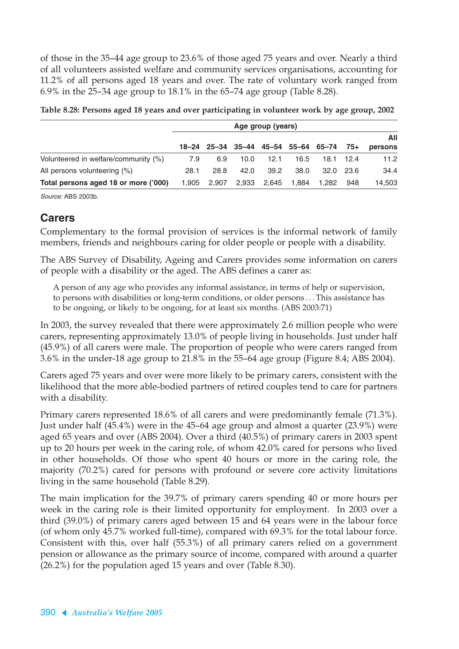of those in the 35–44 age group to 23.6% of those aged 75 years and over. Nearly a third of all volunteers assisted welfare and community services organisations, accounting for 11.2% of all persons aged 18 years and over. The rate of voluntary work ranged from 6.9% in the 25–34 age group to 18.1% in the 65–74 age group (Table 8.28).

|                                      | Age group (years) |                                           |       |       |       |       |           |         |
|--------------------------------------|-------------------|-------------------------------------------|-------|-------|-------|-------|-----------|---------|
|                                      |                   |                                           |       |       |       |       |           | All     |
|                                      |                   | $18-24$ 25-34 35-44 45-54 55-64 65-74 75+ |       |       |       |       |           | persons |
| Volunteered in welfare/community (%) | 7.9               | 6.9                                       | 10.0  | 12.1  | 16.5  |       | 18.1 12.4 | 11.2    |
| All persons volunteering (%)         | 28.1              | 28.8                                      | 42.0  | 39.2  | 38.0  |       | 32.0 23.6 | 34.4    |
| Total persons aged 18 or more ('000) | 1.905             | 2.907                                     | 2,933 | 2.645 | 1,884 | 1.282 | 948       | 14,503  |

| Table 8.28: Persons aged 18 years and over participating in volunteer work by age group, 2002 |  |  |  |
|-----------------------------------------------------------------------------------------------|--|--|--|
|                                                                                               |  |  |  |
|                                                                                               |  |  |  |

Source: ABS 2003b.

### **Carers**

Complementary to the formal provision of services is the informal network of family members, friends and neighbours caring for older people or people with a disability.

The ABS Survey of Disability, Ageing and Carers provides some information on carers of people with a disability or the aged. The ABS defines a carer as:

A person of any age who provides any informal assistance, in terms of help or supervision, to persons with disabilities or long-term conditions, or older persons... This assistance has to be ongoing, or likely to be ongoing, for at least six months. (ABS 2003:71)

In 2003, the survey revealed that there were approximately 2.6 million people who were carers, representing approximately 13.0% of people living in households. Just under half (45.9%) of all carers were male. The proportion of people who were carers ranged from 3.6% in the under-18 age group to 21.8% in the 55–64 age group (Figure 8.4; ABS 2004).

Carers aged 75 years and over were more likely to be primary carers, consistent with the likelihood that the more able-bodied partners of retired couples tend to care for partners with a disability.

Primary carers represented 18.6% of all carers and were predominantly female (71.3%). Just under half (45.4%) were in the 45–64 age group and almost a quarter (23.9%) were aged 65 years and over (ABS 2004). Over a third (40.5%) of primary carers in 2003 spent up to 20 hours per week in the caring role, of whom 42.0% cared for persons who lived in other households. Of those who spent 40 hours or more in the caring role, the majority (70.2%) cared for persons with profound or severe core activity limitations living in the same household (Table 8.29).

The main implication for the 39.7% of primary carers spending 40 or more hours per week in the caring role is their limited opportunity for employment. In 2003 over a third (39.0%) of primary carers aged between 15 and 64 years were in the labour force (of whom only 45.7% worked full-time), compared with 69.3% for the total labour force. Consistent with this, over half (55.3%) of all primary carers relied on a government pension or allowance as the primary source of income, compared with around a quarter (26.2%) for the population aged 15 years and over (Table 8.30).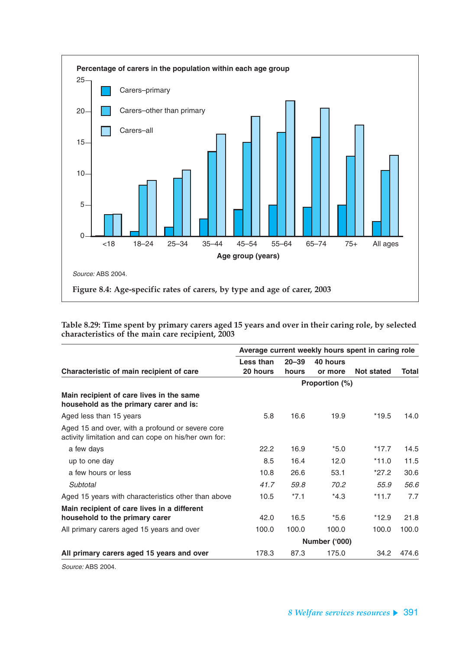

**Table 8.29: Time spent by primary carers aged 15 years and over in their caring role, by selected characteristics of the main care recipient, 2003**

|                                                                                                          | Average current weekly hours spent in caring role |           |                |            |       |
|----------------------------------------------------------------------------------------------------------|---------------------------------------------------|-----------|----------------|------------|-------|
|                                                                                                          | Less than                                         | $20 - 39$ | 40 hours       |            |       |
| Characteristic of main recipient of care                                                                 | 20 hours                                          | hours     | or more        | Not stated | Total |
|                                                                                                          |                                                   |           | Proportion (%) |            |       |
| Main recipient of care lives in the same<br>household as the primary carer and is:                       |                                                   |           |                |            |       |
| Aged less than 15 years                                                                                  | 5.8                                               | 16.6      | 19.9           | $*19.5$    | 14.0  |
| Aged 15 and over, with a profound or severe core<br>activity limitation and can cope on his/her own for: |                                                   |           |                |            |       |
| a few days                                                                                               | 22.2                                              | 16.9      | $*5.0$         | $*17.7$    | 14.5  |
| up to one day                                                                                            | 8.5                                               | 16.4      | 12.0           | $*11.0$    | 11.5  |
| a few hours or less                                                                                      | 10.8                                              | 26.6      | 53.1           | $*27.2$    | 30.6  |
| Subtotal                                                                                                 | 41.7                                              | 59.8      | 70.2           | 55.9       | 56.6  |
| Aged 15 years with characteristics other than above                                                      | 10.5                                              | $*7.1$    | $*4.3$         | $*11.7$    | 7.7   |
| Main recipient of care lives in a different                                                              |                                                   |           |                |            |       |
| household to the primary carer                                                                           | 42.0                                              | 16.5      | $*5.6$         | $*12.9$    | 21.8  |
| All primary carers aged 15 years and over                                                                | 100.0                                             | 100.0     | 100.0          | 100.0      | 100.0 |
|                                                                                                          |                                                   |           | Number ('000)  |            |       |
| All primary carers aged 15 years and over                                                                | 178.3                                             | 87.3      | 175.0          | 34.2       | 474.6 |

Source: ABS 2004.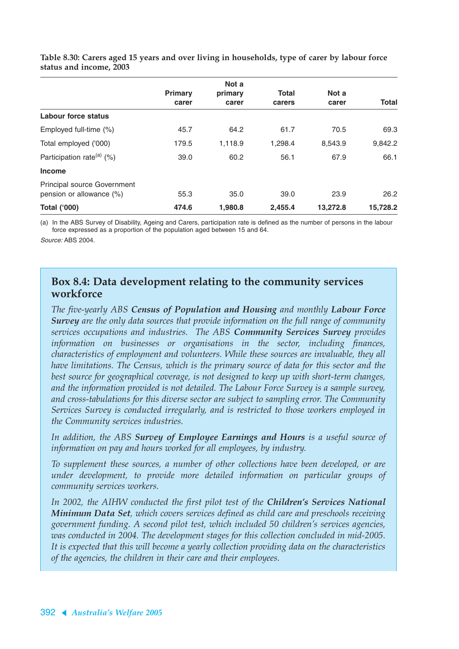|                                                                   |                | Not a   |              |          |          |
|-------------------------------------------------------------------|----------------|---------|--------------|----------|----------|
|                                                                   | <b>Primary</b> | primary | <b>Total</b> | Not a    |          |
|                                                                   | carer          | carer   | carers       | carer    | Total    |
| Labour force status                                               |                |         |              |          |          |
| Employed full-time (%)                                            | 45.7           | 64.2    | 61.7         | 70.5     | 69.3     |
| Total employed ('000)                                             | 179.5          | 1,118.9 | 1,298.4      | 8,543.9  | 9,842.2  |
| Participation rate <sup>(a)</sup> $(\%)$                          | 39.0           | 60.2    | 56.1         | 67.9     | 66.1     |
| <b>Income</b>                                                     |                |         |              |          |          |
| <b>Principal source Government</b><br>pension or allowance $(\%)$ | 55.3           | 35.0    | 39.0         | 23.9     | 26.2     |
| <b>Total ('000)</b>                                               | 474.6          | 1,980.8 | 2.455.4      | 13,272.8 | 15,728.2 |

**Table 8.30: Carers aged 15 years and over living in households, type of carer by labour force status and income, 2003**

(a) In the ABS Survey of Disability, Ageing and Carers, participation rate is defined as the number of persons in the labour force expressed as a proportion of the population aged between 15 and 64.

Source: ABS 2004.

### **Box 8.4: Data development relating to the community services workforce**

*The five-yearly ABS Census of Population and Housing and monthly Labour Force Survey are the only data sources that provide information on the full range of community services occupations and industries. The ABS Community Services Survey provides information on businesses or organisations in the sector, including finances, characteristics of employment and volunteers. While these sources are invaluable, they all have limitations. The Census, which is the primary source of data for this sector and the best source for geographical coverage, is not designed to keep up with short-term changes, and the information provided is not detailed. The Labour Force Survey is a sample survey, and cross-tabulations for this diverse sector are subject to sampling error. The Community Services Survey is conducted irregularly, and is restricted to those workers employed in the Community services industries.*

*In addition, the ABS Survey of Employee Earnings and Hours is a useful source of information on pay and hours worked for all employees, by industry.*

*To supplement these sources, a number of other collections have been developed, or are under development, to provide more detailed information on particular groups of community services workers.*

*In 2002, the AIHW conducted the first pilot test of the Children's Services National Minimum Data Set, which covers services defined as child care and preschools receiving government funding. A second pilot test, which included 50 children's services agencies, was conducted in 2004. The development stages for this collection concluded in mid-2005. It is expected that this will become a yearly collection providing data on the characteristics of the agencies, the children in their care and their employees.*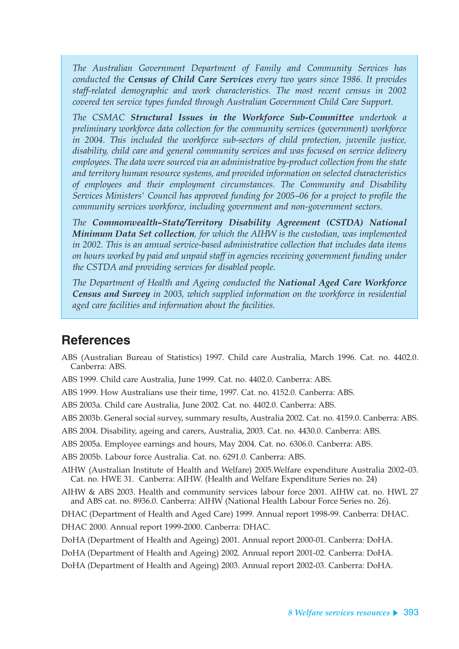*The Australian Government Department of Family and Community Services has conducted the Census of Child Care Services every two years since 1986. It provides staff-related demographic and work characteristics. The most recent census in 2002 covered ten service types funded through Australian Government Child Care Support.* 

*The CSMAC Structural Issues in the Workforce Sub-Committee undertook a preliminary workforce data collection for the community services (government) workforce in 2004. This included the workforce sub-sectors of child protection, juvenile justice, disability, child care and general community services and was focused on service delivery employees. The data were sourced via an administrative by-product collection from the state and territory human resource systems, and provided information on selected characteristics of employees and their employment circumstances. The Community and Disability Services Ministers' Council has approved funding for 2005–06 for a project to profile the community services workforce, including government and non-government sectors.*

*The Commonwealth–State/Territory Disability Agreement (CSTDA) National Minimum Data Set collection, for which the AIHW is the custodian, was implemented in 2002. This is an annual service-based administrative collection that includes data items on hours worked by paid and unpaid staff in agencies receiving government funding under the CSTDA and providing services for disabled people.*

*The Department of Health and Ageing conducted the National Aged Care Workforce Census and Survey in 2003, which supplied information on the workforce in residential aged care facilities and information about the facilities.*

### **References**

- ABS (Australian Bureau of Statistics) 1997. Child care Australia, March 1996. Cat. no. 4402.0. Canberra: ABS.
- ABS 1999. Child care Australia, June 1999. Cat. no. 4402.0. Canberra: ABS.
- ABS 1999. How Australians use their time, 1997. Cat. no. 4152.0. Canberra: ABS.
- ABS 2003a. Child care Australia, June 2002. Cat. no. 4402.0. Canberra: ABS.
- ABS 2003b. General social survey, summary results, Australia 2002. Cat. no. 4159.0. Canberra: ABS.
- ABS 2004. Disability, ageing and carers, Australia, 2003. Cat. no. 4430.0. Canberra: ABS.
- ABS 2005a. Employee earnings and hours, May 2004. Cat. no. 6306.0. Canberra: ABS.
- ABS 2005b. Labour force Australia. Cat. no. 6291.0. Canberra: ABS.
- AIHW (Australian Institute of Health and Welfare) 2005.Welfare expenditure Australia 2002–03. Cat. no. HWE 31. Canberra: AIHW. (Health and Welfare Expenditure Series no. 24)
- AIHW & ABS 2003. Health and community services labour force 2001. AIHW cat. no. HWL 27 and ABS cat. no. 8936.0. Canberra: AIHW (National Health Labour Force Series no. 26).
- DHAC (Department of Health and Aged Care) 1999. Annual report 1998-99. Canberra: DHAC.
- DHAC 2000. Annual report 1999-2000. Canberra: DHAC.
- DoHA (Department of Health and Ageing) 2001. Annual report 2000-01. Canberra: DoHA.
- DoHA (Department of Health and Ageing) 2002. Annual report 2001-02. Canberra: DoHA.
- DoHA (Department of Health and Ageing) 2003. Annual report 2002-03. Canberra: DoHA.